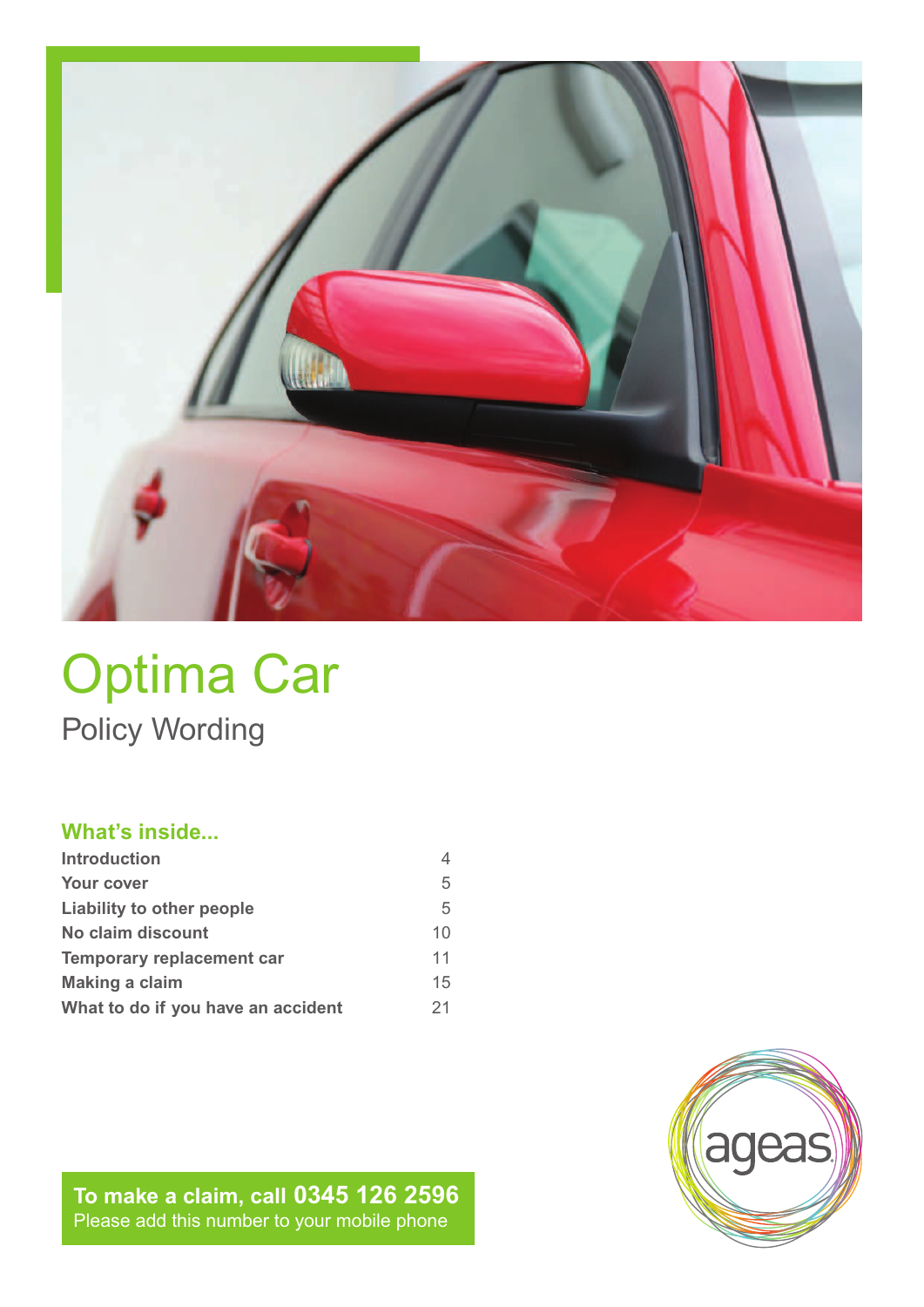

# Optima Car Policy Wording

### **What's inside...**

| <b>Introduction</b>                |    |
|------------------------------------|----|
| Your cover                         | 5  |
| Liability to other people          | 5  |
| No claim discount                  | 10 |
| <b>Temporary replacement car</b>   | 11 |
| <b>Making a claim</b>              | 15 |
| What to do if you have an accident | 21 |

**To make a claim, call 0345 126 2596** Please add this number to your mobile phone

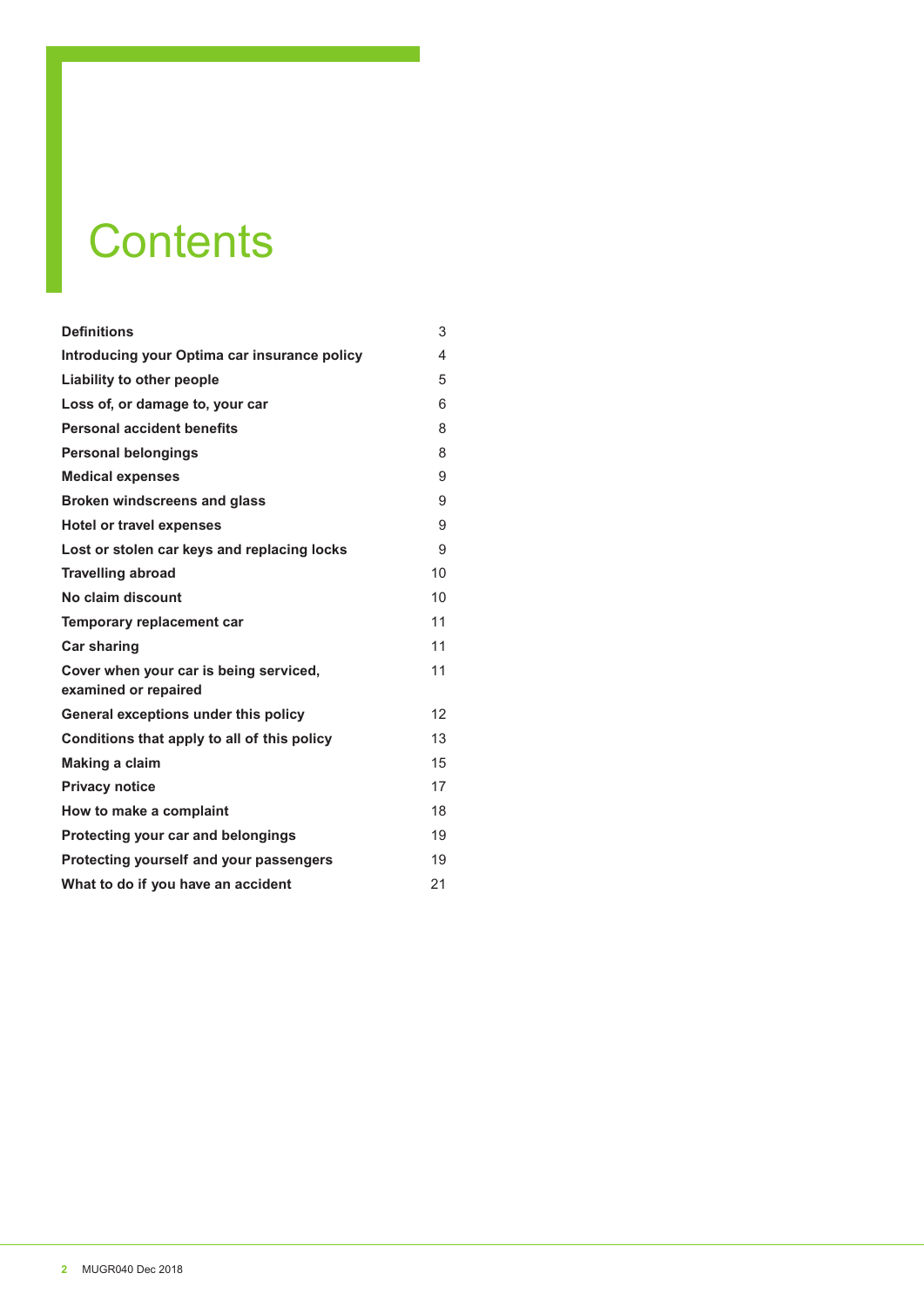# **Contents**

| <b>Definitions</b>                                             | 3  |
|----------------------------------------------------------------|----|
| Introducing your Optima car insurance policy                   | 4  |
| Liability to other people                                      | 5  |
| Loss of, or damage to, your car                                | 6  |
| <b>Personal accident benefits</b>                              | 8  |
| <b>Personal belongings</b>                                     | 8  |
| <b>Medical expenses</b>                                        | 9  |
| <b>Broken windscreens and glass</b>                            | 9  |
| <b>Hotel or travel expenses</b>                                | 9  |
| Lost or stolen car keys and replacing locks                    | 9  |
| <b>Travelling abroad</b>                                       | 10 |
| No claim discount                                              | 10 |
| Temporary replacement car                                      | 11 |
| <b>Car sharing</b>                                             | 11 |
| Cover when your car is being serviced,<br>examined or repaired | 11 |
| General exceptions under this policy                           | 12 |
| Conditions that apply to all of this policy                    | 13 |
| Making a claim                                                 | 15 |
| <b>Privacy notice</b>                                          | 17 |
| How to make a complaint                                        | 18 |
| Protecting your car and belongings                             | 19 |
| Protecting yourself and your passengers                        | 19 |
| What to do if you have an accident                             | 21 |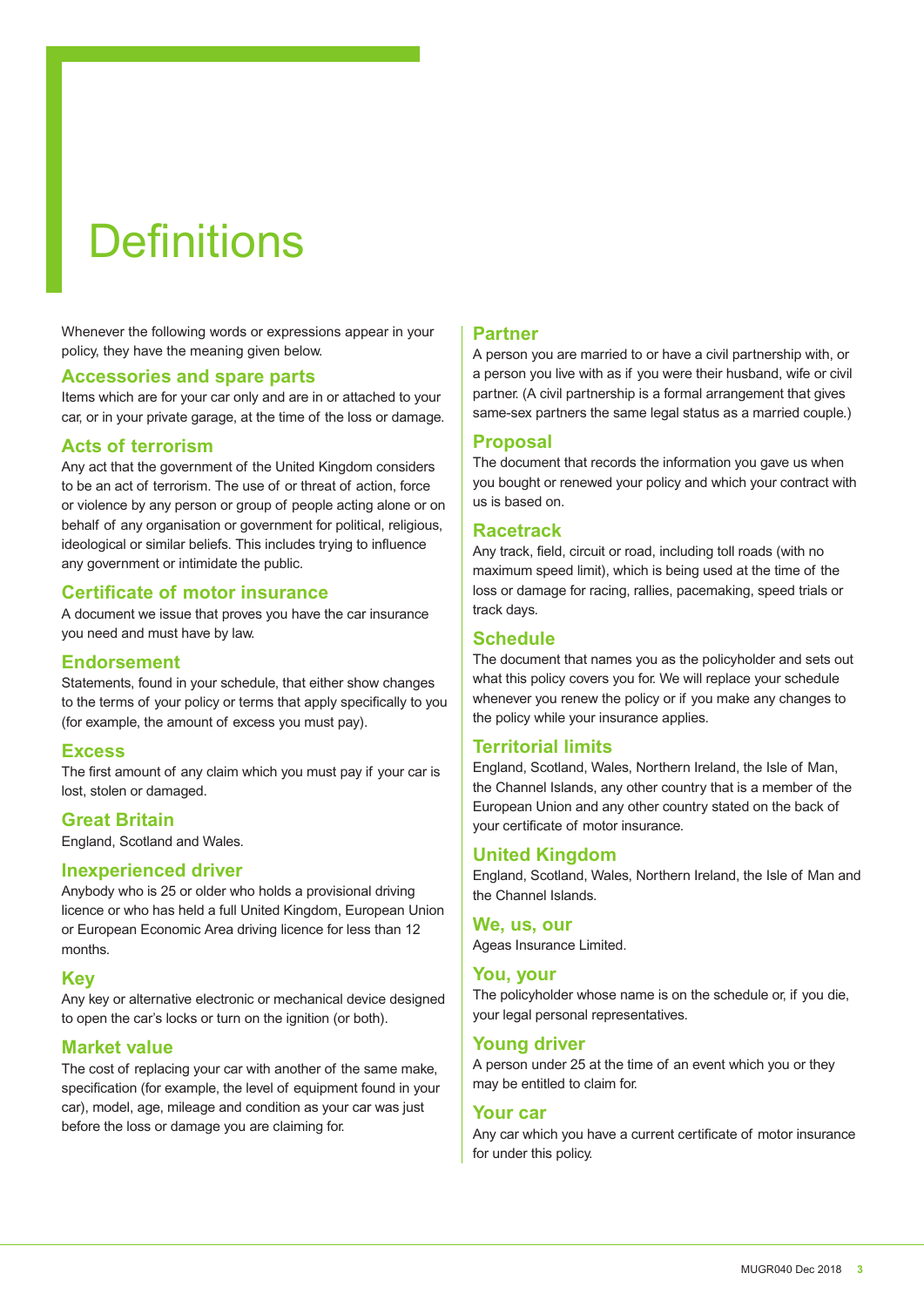# **Definitions**

Whenever the following words or expressions appear in your policy, they have the meaning given below.

#### **Accessories and spare parts**

Items which are for your car only and are in or attached to your car, or in your private garage, at the time of the loss or damage.

#### **Acts of terrorism**

Any act that the government of the United Kingdom considers to be an act of terrorism. The use of or threat of action, force or violence by any person or group of people acting alone or on behalf of any organisation or government for political, religious, ideological or similar beliefs. This includes trying to influence any government or intimidate the public.

#### **Certificate of motor insurance**

A document we issue that proves you have the car insurance you need and must have by law.

#### **Endorsement**

Statements, found in your schedule, that either show changes to the terms of your policy or terms that apply specifically to you (for example, the amount of excess you must pay).

#### **Excess**

The first amount of any claim which you must pay if your car is lost, stolen or damaged.

### **Great Britain**

England, Scotland and Wales.

#### **Inexperienced driver**

Anybody who is 25 or older who holds a provisional driving licence or who has held a full United Kingdom, European Union or European Economic Area driving licence for less than 12 months.

#### **Key**

Any key or alternative electronic or mechanical device designed to open the car's locks or turn on the ignition (or both).

#### **Market value**

The cost of replacing your car with another of the same make, specification (for example, the level of equipment found in your car), model, age, mileage and condition as your car was just before the loss or damage you are claiming for.

#### **Partner**

A person you are married to or have a civil partnership with, or a person you live with as if you were their husband, wife or civil partner. (A civil partnership is a formal arrangement that gives same-sex partners the same legal status as a married couple.)

#### **Proposal**

The document that records the information you gave us when you bought or renewed your policy and which your contract with us is based on.

#### **Racetrack**

Any track, field, circuit or road, including toll roads (with no maximum speed limit), which is being used at the time of the loss or damage for racing, rallies, pacemaking, speed trials or track days.

#### **Schedule**

The document that names you as the policyholder and sets out what this policy covers you for. We will replace your schedule whenever you renew the policy or if you make any changes to the policy while your insurance applies.

#### **Territorial limits**

England, Scotland, Wales, Northern Ireland, the Isle of Man, the Channel Islands, any other country that is a member of the European Union and any other country stated on the back of your certificate of motor insurance.

#### **United Kingdom**

England, Scotland, Wales, Northern Ireland, the Isle of Man and the Channel Islands.

#### **We, us, our**

Ageas Insurance Limited.

#### **You, your**

The policyholder whose name is on the schedule or, if you die, your legal personal representatives.

#### **Young driver**

A person under 25 at the time of an event which you or they may be entitled to claim for.

#### **Your car**

Any car which you have a current certificate of motor insurance for under this policy.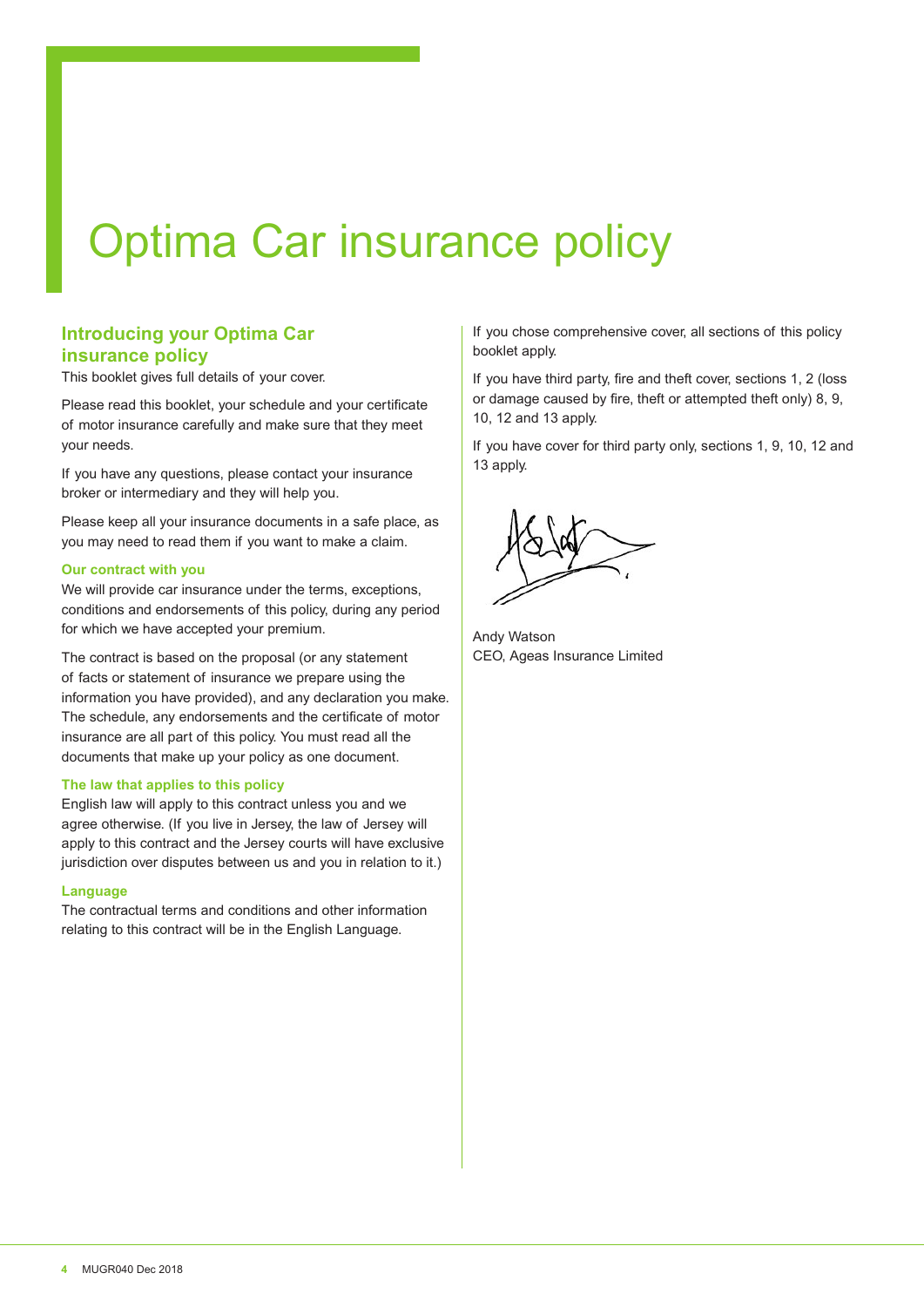# Optima Car insurance policy

#### **Introducing your Optima Car insurance policy**

This booklet gives full details of your cover.

Please read this booklet, your schedule and your certificate of motor insurance carefully and make sure that they meet your needs.

If you have any questions, please contact your insurance broker or intermediary and they will help you.

Please keep all your insurance documents in a safe place, as you may need to read them if you want to make a claim.

#### **Our contract with you**

We will provide car insurance under the terms, exceptions, conditions and endorsements of this policy, during any period for which we have accepted your premium.

The contract is based on the proposal (or any statement of facts or statement of insurance we prepare using the information you have provided), and any declaration you make. The schedule, any endorsements and the certificate of motor insurance are all part of this policy. You must read all the documents that make up your policy as one document.

#### **The law that applies to this policy**

English law will apply to this contract unless you and we agree otherwise. (If you live in Jersey, the law of Jersey will apply to this contract and the Jersey courts will have exclusive jurisdiction over disputes between us and you in relation to it.)

#### **Language**

The contractual terms and conditions and other information relating to this contract will be in the English Language.

If you chose comprehensive cover, all sections of this policy booklet apply.

If you have third party, fire and theft cover, sections 1, 2 (loss or damage caused by fire, theft or attempted theft only) 8, 9, 10, 12 and 13 apply.

If you have cover for third party only, sections 1, 9, 10, 12 and 13 apply.



Andy Watson CEO, Ageas Insurance Limited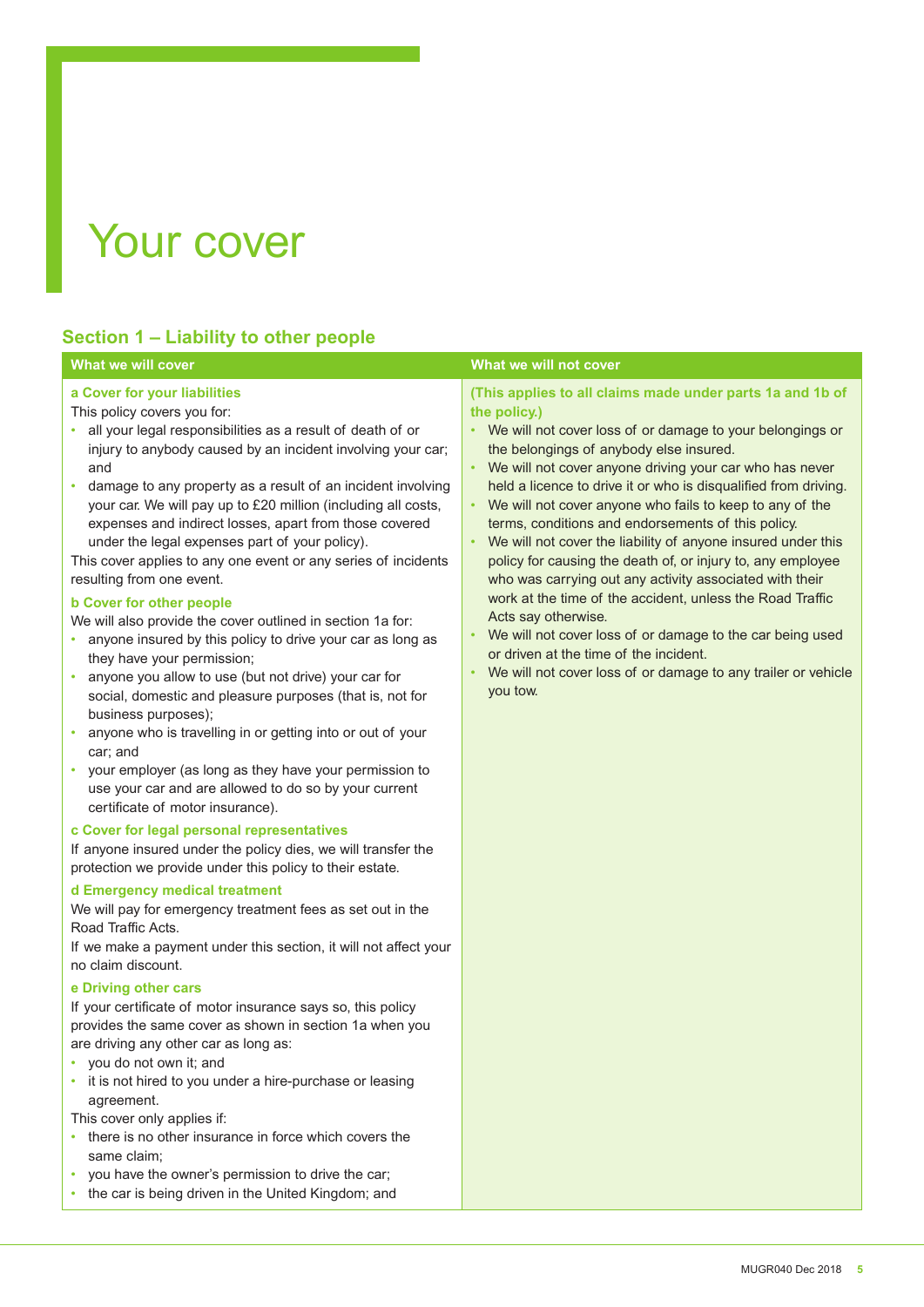# Your cover

### **Section 1 – Liability to other people**

#### **What we will cover** What we will cover **a Cover for your liabilities** This policy covers you for: • all your legal responsibilities as a result of death of or injury to anybody caused by an incident involving your car; and • damage to any property as a result of an incident involving your car. We will pay up to £20 million (including all costs, expenses and indirect losses, apart from those covered under the legal expenses part of your policy). This cover applies to any one event or any series of incidents resulting from one event. **b Cover for other people** We will also provide the cover outlined in section 1a for: • anyone insured by this policy to drive your car as long as they have your permission; • anyone you allow to use (but not drive) your car for social, domestic and pleasure purposes (that is, not for business purposes); • anyone who is travelling in or getting into or out of your car; and • your employer (as long as they have your permission to use your car and are allowed to do so by your current certificate of motor insurance). **c Cover for legal personal representatives** If anyone insured under the policy dies, we will transfer the protection we provide under this policy to their estate. **d Emergency medical treatment** We will pay for emergency treatment fees as set out in the Road Traffic Acts. If we make a payment under this section, it will not afect your no claim discount. **e Driving other cars** If your certificate of motor insurance says so, this policy **(This applies to all claims made under parts 1a and 1b of the policy.)** • We will not cover loss of or damage to your belongings or the belongings of anybody else insured. We will not cover anyone driving your car who has never held a licence to drive it or who is disqualified from driving. We will not cover anyone who fails to keep to any of the terms, conditions and endorsements of this policy. • We will not cover the liability of anyone insured under this policy for causing the death of, or injury to, any employee who was carrying out any activity associated with their work at the time of the accident, unless the Road Traffic Acts say otherwise. We will not cover loss of or damage to the car being used or driven at the time of the incident. We will not cover loss of or damage to any trailer or vehicle you tow.

- provides the same cover as shown in section 1a when you are driving any other car as long as: • you do not own it; and
- it is not hired to you under a hire-purchase or leasing agreement.
- This cover only applies if:
- there is no other insurance in force which covers the same claim;
- you have the owner's permission to drive the car;
- the car is being driven in the United Kingdom; and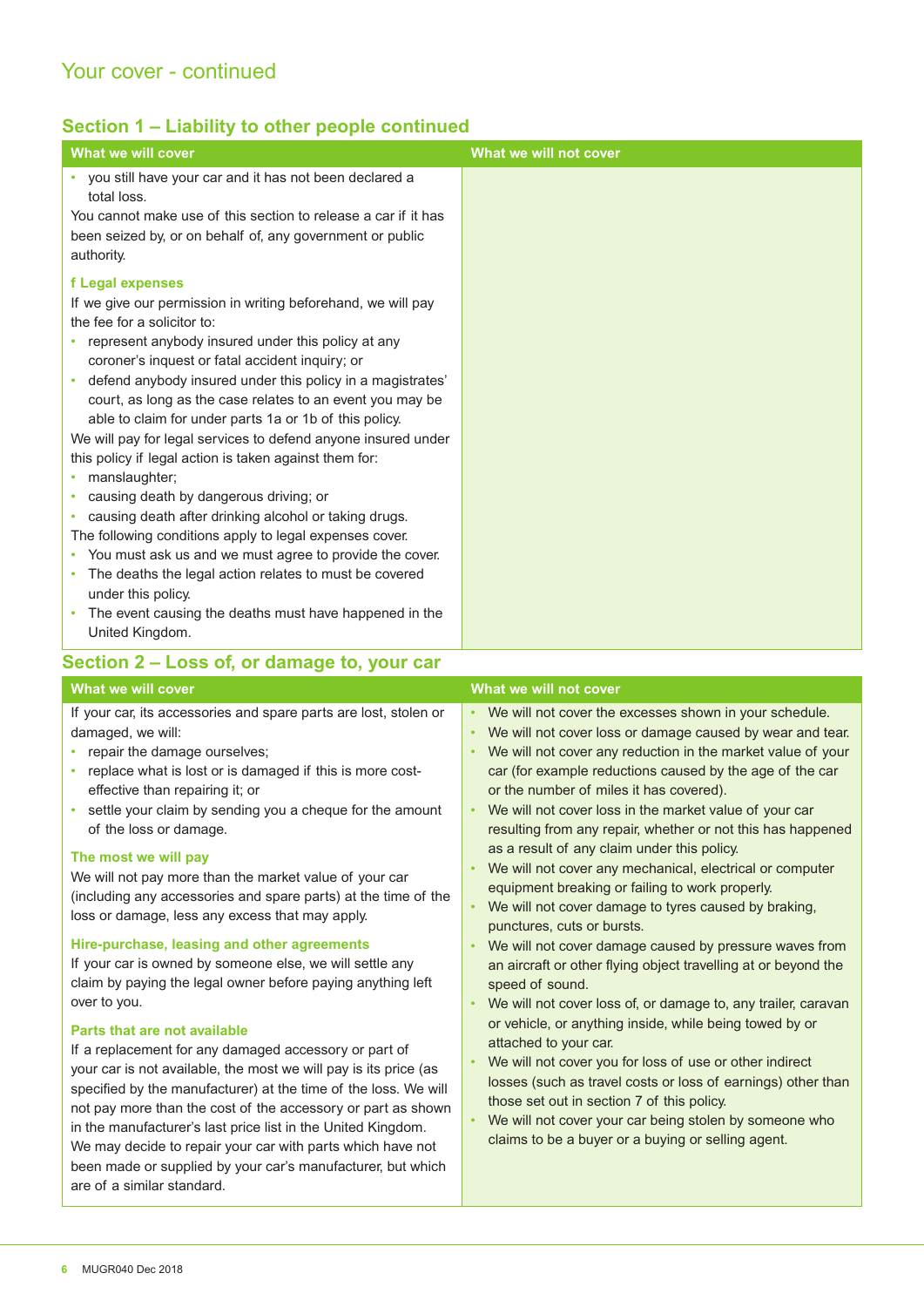### **Section 1 – Liability to other people continued**

| What we will cover                                                                                                                                                                                                                                                                                                                                                                                                                                                                                                                                                                                                                                                                                                                                                                                                                                                                                                                                             | What we will not cover |
|----------------------------------------------------------------------------------------------------------------------------------------------------------------------------------------------------------------------------------------------------------------------------------------------------------------------------------------------------------------------------------------------------------------------------------------------------------------------------------------------------------------------------------------------------------------------------------------------------------------------------------------------------------------------------------------------------------------------------------------------------------------------------------------------------------------------------------------------------------------------------------------------------------------------------------------------------------------|------------------------|
| • you still have your car and it has not been declared a<br>total loss.<br>You cannot make use of this section to release a car if it has<br>been seized by, or on behalf of, any government or public<br>authority.                                                                                                                                                                                                                                                                                                                                                                                                                                                                                                                                                                                                                                                                                                                                           |                        |
| f Legal expenses<br>If we give our permission in writing beforehand, we will pay<br>the fee for a solicitor to:<br>• represent anybody insured under this policy at any<br>coroner's inquest or fatal accident inquiry; or<br>• defend anybody insured under this policy in a magistrates'<br>court, as long as the case relates to an event you may be<br>able to claim for under parts 1a or 1b of this policy.<br>We will pay for legal services to defend anyone insured under<br>this policy if legal action is taken against them for:<br>manslaughter;<br>causing death by dangerous driving; or<br>causing death after drinking alcohol or taking drugs.<br>۰<br>The following conditions apply to legal expenses cover.<br>• You must ask us and we must agree to provide the cover.<br>• The deaths the legal action relates to must be covered<br>under this policy.<br>• The event causing the deaths must have happened in the<br>United Kingdom. |                        |
| Section 2 – Loss of, or damage to, your car                                                                                                                                                                                                                                                                                                                                                                                                                                                                                                                                                                                                                                                                                                                                                                                                                                                                                                                    |                        |
| What we will cover                                                                                                                                                                                                                                                                                                                                                                                                                                                                                                                                                                                                                                                                                                                                                                                                                                                                                                                                             | What we will not cover |

If your car, its accessories and spare parts are lost, stolen or damaged, we will:

- repair the damage ourselves;
- replace what is lost or is damaged if this is more costefective than repairing it; or
- settle your claim by sending you a cheque for the amount of the loss or damage.

#### **The most we will pay**

We will not pay more than the market value of your car (including any accessories and spare parts) at the time of the loss or damage, less any excess that may apply.

#### **Hire-purchase, leasing and other agreements**

If your car is owned by someone else, we will settle any claim by paying the legal owner before paying anything left over to you.

#### **Parts that are not available**

If a replacement for any damaged accessory or part of your car is not available, the most we will pay is its price (as specified by the manufacturer) at the time of the loss. We will not pay more than the cost of the accessory or part as shown in the manufacturer's last price list in the United Kingdom. We may decide to repair your car with parts which have not been made or supplied by your car's manufacturer, but which are of a similar standard.

We will not cover the excesses shown in your schedule.

- We will not cover loss or damage caused by wear and tear. • We will not cover any reduction in the market value of your car (for example reductions caused by the age of the car
- or the number of miles it has covered). • We will not cover loss in the market value of your car resulting from any repair, whether or not this has happened as a result of any claim under this policy.
- We will not cover any mechanical, electrical or computer equipment breaking or failing to work properly.
- We will not cover damage to tyres caused by braking, punctures, cuts or bursts.
- We will not cover damage caused by pressure waves from an aircraft or other flying object travelling at or beyond the speed of sound.
- We will not cover loss of, or damage to, any trailer, caravan or vehicle, or anything inside, while being towed by or attached to your car.
- We will not cover you for loss of use or other indirect losses (such as travel costs or loss of earnings) other than those set out in section 7 of this policy.
- We will not cover your car being stolen by someone who claims to be a buyer or a buying or selling agent.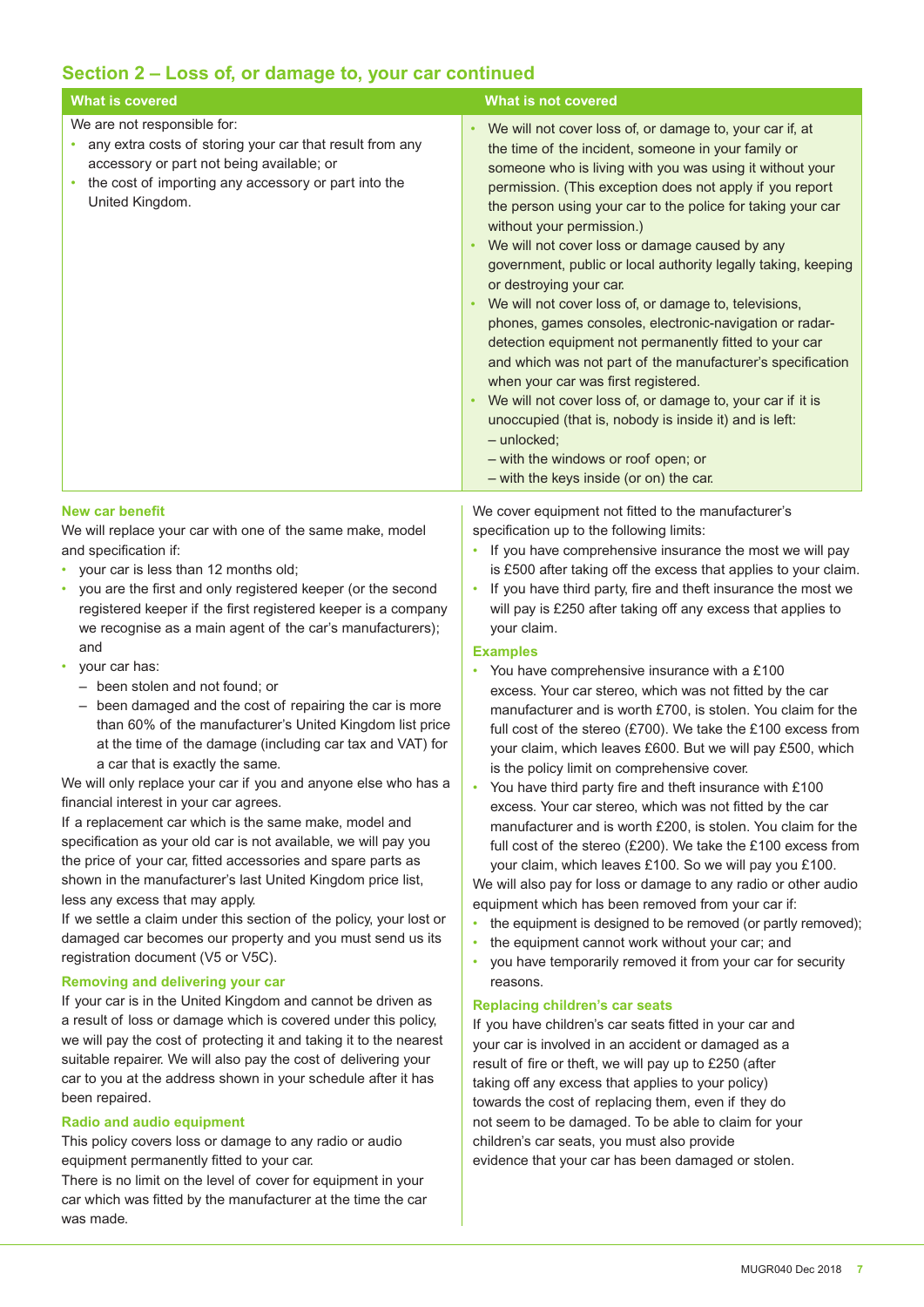### **Section 2 – Loss of, or damage to, your car continued**

| <b>What is covered</b>                                                                                                                                                                                                                                                                                                                                                                                                                                                                                                                                                                                                                                                                                                                                                                                                                                      | <b>What is not covered</b>                                                                                                                                                                                                                                                                                                                                                                                                                                                                                                                                                                                                                                                                                                                                                                                                                                                                                                                                                                                 |
|-------------------------------------------------------------------------------------------------------------------------------------------------------------------------------------------------------------------------------------------------------------------------------------------------------------------------------------------------------------------------------------------------------------------------------------------------------------------------------------------------------------------------------------------------------------------------------------------------------------------------------------------------------------------------------------------------------------------------------------------------------------------------------------------------------------------------------------------------------------|------------------------------------------------------------------------------------------------------------------------------------------------------------------------------------------------------------------------------------------------------------------------------------------------------------------------------------------------------------------------------------------------------------------------------------------------------------------------------------------------------------------------------------------------------------------------------------------------------------------------------------------------------------------------------------------------------------------------------------------------------------------------------------------------------------------------------------------------------------------------------------------------------------------------------------------------------------------------------------------------------------|
| We are not responsible for:<br>any extra costs of storing your car that result from any<br>accessory or part not being available; or<br>the cost of importing any accessory or part into the<br>$\bullet$<br>United Kingdom.                                                                                                                                                                                                                                                                                                                                                                                                                                                                                                                                                                                                                                | We will not cover loss of, or damage to, your car if, at<br>$\bullet$<br>the time of the incident, someone in your family or<br>someone who is living with you was using it without your<br>permission. (This exception does not apply if you report<br>the person using your car to the police for taking your car<br>without your permission.)<br>We will not cover loss or damage caused by any<br>government, public or local authority legally taking, keeping<br>or destroying your car.<br>We will not cover loss of, or damage to, televisions,<br>phones, games consoles, electronic-navigation or radar-<br>detection equipment not permanently fitted to your car<br>and which was not part of the manufacturer's specification<br>when your car was first registered.<br>We will not cover loss of, or damage to, your car if it is<br>unoccupied (that is, nobody is inside it) and is left:<br>- unlocked;<br>- with the windows or roof open; or<br>- with the keys inside (or on) the car. |
| <b>New car benefit</b><br>We will replace your car with one of the same make, model<br>and specification if:<br>your car is less than 12 months old;<br>you are the first and only registered keeper (or the second<br>registered keeper if the first registered keeper is a company<br>we recognise as a main agent of the car's manufacturers);<br>and                                                                                                                                                                                                                                                                                                                                                                                                                                                                                                    | We cover equipment not fitted to the manufacturer's<br>specification up to the following limits:<br>If you have comprehensive insurance the most we will pay<br>is £500 after taking off the excess that applies to your claim.<br>If you have third party, fire and theft insurance the most we<br>$\bullet$<br>will pay is £250 after taking off any excess that applies to<br>your claim.<br><b>Examples</b>                                                                                                                                                                                                                                                                                                                                                                                                                                                                                                                                                                                            |
| your car has:<br>- been stolen and not found; or<br>been damaged and the cost of repairing the car is more<br>than 60% of the manufacturer's United Kingdom list price<br>at the time of the damage (including car tax and VAT) for<br>a car that is exactly the same.<br>We will only replace your car if you and anyone else who has a<br>financial interest in your car agrees.<br>If a replacement car which is the same make, model and<br>specification as your old car is not available, we will pay you<br>the price of your car, fitted accessories and spare parts as<br>shown in the manufacturer's last United Kingdom price list,<br>less any excess that may apply.<br>If we settle a claim under this section of the policy, your lost or<br>damaged car becomes our property and you must send us its<br>registration document (V5 or V5C). | You have comprehensive insurance with a £100<br>excess. Your car stereo, which was not fitted by the car<br>manufacturer and is worth £700, is stolen. You claim for the<br>full cost of the stereo (£700). We take the £100 excess from<br>your claim, which leaves £600. But we will pay £500, which<br>is the policy limit on comprehensive cover.<br>You have third party fire and theft insurance with £100<br>excess. Your car stereo, which was not fitted by the car<br>manufacturer and is worth £200, is stolen. You claim for the<br>full cost of the stereo (£200). We take the £100 excess from<br>your claim, which leaves £100. So we will pay you £100.<br>We will also pay for loss or damage to any radio or other audio<br>equipment which has been removed from your car if:<br>the equipment is designed to be removed (or partly removed);<br>the equipment cannot work without your car; and<br>you have temporarily removed it from your car for security                          |
| <b>Removing and delivering your car</b><br>If your car is in the United Kingdom and cannot be driven as<br>a result of loss or damage which is covered under this policy,<br>we will pay the cost of protecting it and taking it to the nearest<br>suitable repairer. We will also pay the cost of delivering your<br>car to you at the address shown in your schedule after it has<br>been repaired.<br><b>Radio and audio equipment</b><br>This policy covers loss or damage to any radio or audio<br>equipment permanently fitted to your car.<br>There is no limit on the level of cover for equipment in your<br>car which was fitted by the manufacturer at the time the car<br>was made.                                                                                                                                                             | reasons.<br><b>Replacing children's car seats</b><br>If you have children's car seats fitted in your car and<br>your car is involved in an accident or damaged as a<br>result of fire or theft, we will pay up to £250 (after<br>taking off any excess that applies to your policy)<br>towards the cost of replacing them, even if they do<br>not seem to be damaged. To be able to claim for your<br>children's car seats, you must also provide<br>evidence that your car has been damaged or stolen.                                                                                                                                                                                                                                                                                                                                                                                                                                                                                                    |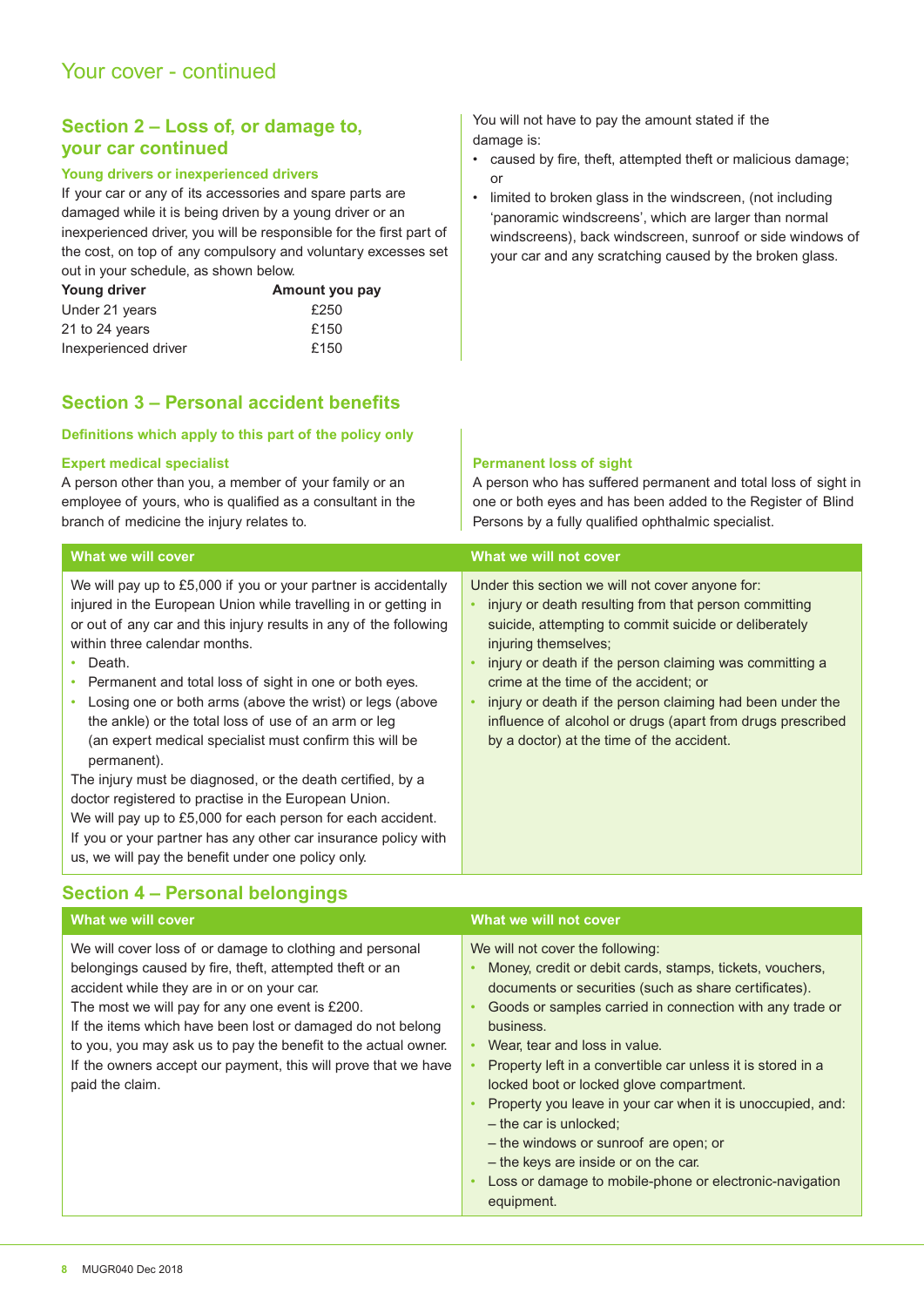#### **Section 2 – Loss of, or damage to, your car continued**

#### **Young drivers or inexperienced drivers**

If your car or any of its accessories and spare parts are damaged while it is being driven by a young driver or an inexperienced driver, you will be responsible for the first part of the cost, on top of any compulsory and voluntary excesses set out in your schedule, as shown below.

| Young driver         | Amount you pay |
|----------------------|----------------|
| Under 21 years       | £250           |
| 21 to 24 years       | £150           |
| Inexperienced driver | £150           |

### **Section 3 – Personal accident benefits**

#### **Definitions which apply to this part of the policy only**

#### **Expert medical specialist**

within three calendar months.

• Death.

A person other than you, a member of your family or an employee of yours, who is qualified as a consultant in the branch of medicine the injury relates to.

We will pay up to £5,000 if you or your partner is accidentally injured in the European Union while travelling in or getting in or out of any car and this injury results in any of the following

You will not have to pay the amount stated if the damage is:

- caused by ire, theft, attempted theft or malicious damage; or
- limited to broken glass in the windscreen, (not including 'panoramic windscreens', which are larger than normal windscreens), back windscreen, sunroof or side windows of your car and any scratching caused by the broken glass.

#### **Permanent loss of sight**

A person who has sufered permanent and total loss of sight in one or both eyes and has been added to the Register of Blind Persons by a fully qualified ophthalmic specialist.

#### **What we will cover** What we will not cover

Under this section we will not cover anyone for:

- injury or death resulting from that person committing suicide, attempting to commit suicide or deliberately injuring themselves:
- injury or death if the person claiming was committing a crime at the time of the accident; or
- injury or death if the person claiming had been under the influence of alcohol or drugs (apart from drugs prescribed by a doctor) at the time of the accident.
- Losing one or both arms (above the wrist) or legs (above the ankle) or the total loss of use of an arm or leg (an expert medical specialist must confirm this will be permanent). The injury must be diagnosed, or the death certified, by a doctor registered to practise in the European Union.

• Permanent and total loss of sight in one or both eyes.

We will pay up to £5,000 for each person for each accident. If you or your partner has any other car insurance policy with us, we will pay the benefit under one policy only.

### **Section 4 – Personal belongings**

| What we will cover                                                                                                                                                                                                                                                                                                                                                                                                                        | What we will not cover                                                                                                                                                                                                                                                                                                                                                                                                                                                                                                                                                                                                         |
|-------------------------------------------------------------------------------------------------------------------------------------------------------------------------------------------------------------------------------------------------------------------------------------------------------------------------------------------------------------------------------------------------------------------------------------------|--------------------------------------------------------------------------------------------------------------------------------------------------------------------------------------------------------------------------------------------------------------------------------------------------------------------------------------------------------------------------------------------------------------------------------------------------------------------------------------------------------------------------------------------------------------------------------------------------------------------------------|
| We will cover loss of or damage to clothing and personal<br>belongings caused by fire, theft, attempted theft or an<br>accident while they are in or on your car.<br>The most we will pay for any one event is £200.<br>If the items which have been lost or damaged do not belong<br>to you, you may ask us to pay the benefit to the actual owner.<br>If the owners accept our payment, this will prove that we have<br>paid the claim. | We will not cover the following:<br>Money, credit or debit cards, stamps, tickets, vouchers,<br>documents or securities (such as share certificates).<br>Goods or samples carried in connection with any trade or<br>business.<br>Wear, tear and loss in value.<br>Property left in a convertible car unless it is stored in a<br>locked boot or locked glove compartment.<br>Property you leave in your car when it is unoccupied, and:<br>$-$ the car is unlocked;<br>- the windows or sunroof are open; or<br>- the keys are inside or on the car.<br>Loss or damage to mobile-phone or electronic-navigation<br>equipment. |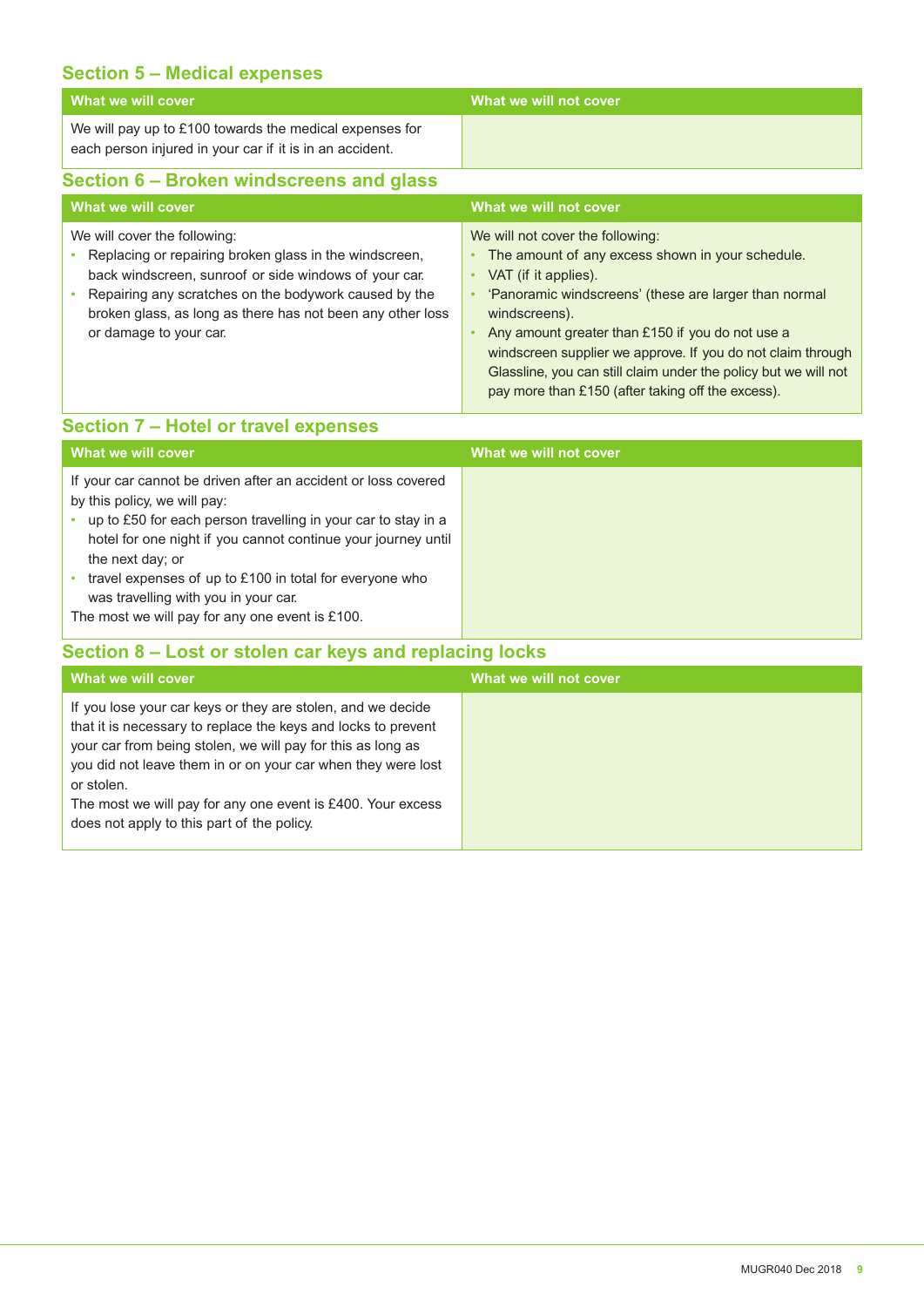#### **Section 5 – Medical expenses**

| What we will cover                                                                                                                                                                                                                                                                               | What we will not cover                                                                                                                                                                                                                                                                                                                                                                                                                         |
|--------------------------------------------------------------------------------------------------------------------------------------------------------------------------------------------------------------------------------------------------------------------------------------------------|------------------------------------------------------------------------------------------------------------------------------------------------------------------------------------------------------------------------------------------------------------------------------------------------------------------------------------------------------------------------------------------------------------------------------------------------|
| We will pay up to £100 towards the medical expenses for<br>each person injured in your car if it is in an accident.                                                                                                                                                                              |                                                                                                                                                                                                                                                                                                                                                                                                                                                |
| Section 6 – Broken windscreens and glass                                                                                                                                                                                                                                                         |                                                                                                                                                                                                                                                                                                                                                                                                                                                |
| What we will cover                                                                                                                                                                                                                                                                               | What we will not cover                                                                                                                                                                                                                                                                                                                                                                                                                         |
| We will cover the following:<br>Replacing or repairing broken glass in the windscreen,<br>back windscreen, sunroof or side windows of your car.<br>Repairing any scratches on the bodywork caused by the<br>broken glass, as long as there has not been any other loss<br>or damage to your car. | We will not cover the following:<br>The amount of any excess shown in your schedule.<br>VAT (if it applies).<br>$\bullet$<br>'Panoramic windscreens' (these are larger than normal<br>windscreens).<br>Any amount greater than £150 if you do not use a<br>windscreen supplier we approve. If you do not claim through<br>Glassline, you can still claim under the policy but we will not<br>pay more than £150 (after taking off the excess). |

### **Section 7 – Hotel or travel expenses**

| What we will cover                                                                                                                                                                                                                                                                                                                                                                                         | What we will not cover |
|------------------------------------------------------------------------------------------------------------------------------------------------------------------------------------------------------------------------------------------------------------------------------------------------------------------------------------------------------------------------------------------------------------|------------------------|
| If your car cannot be driven after an accident or loss covered<br>by this policy, we will pay:<br>up to £50 for each person travelling in your car to stay in a<br>hotel for one night if you cannot continue your journey until<br>the next day; or<br>travel expenses of up to £100 in total for everyone who<br>was travelling with you in your car.<br>The most we will pay for any one event is £100. |                        |

### **Section 8 – Lost or stolen car keys and replacing locks**

| What we will cover                                                                                                                                                                                                                                                                                                                                                                     | What we will not cover |
|----------------------------------------------------------------------------------------------------------------------------------------------------------------------------------------------------------------------------------------------------------------------------------------------------------------------------------------------------------------------------------------|------------------------|
| If you lose your car keys or they are stolen, and we decide<br>that it is necessary to replace the keys and locks to prevent<br>your car from being stolen, we will pay for this as long as<br>you did not leave them in or on your car when they were lost<br>or stolen.<br>The most we will pay for any one event is £400. Your excess<br>does not apply to this part of the policy. |                        |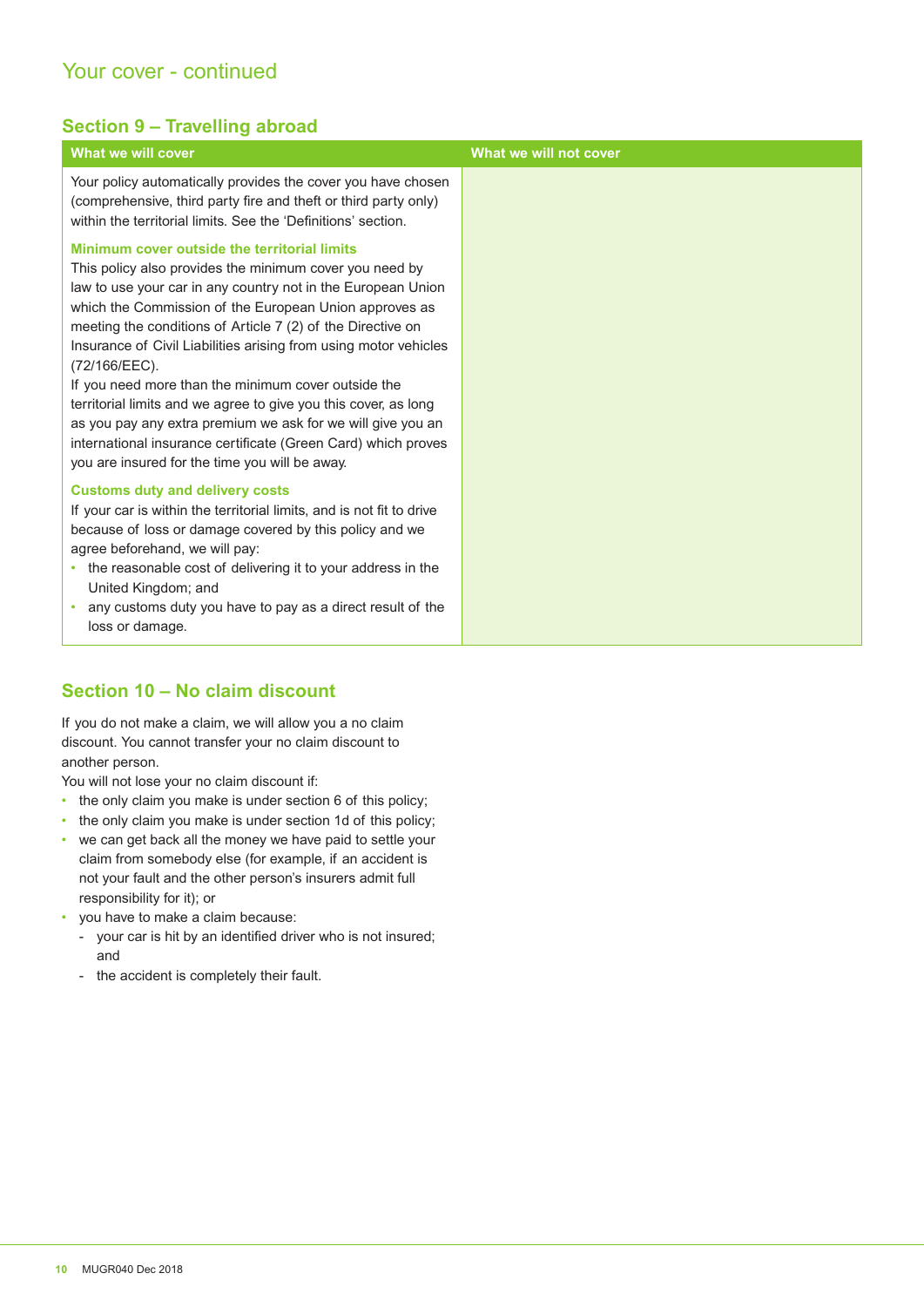### Your cover - continued

#### **Section 9 – Travelling abroad**

| What we will cover                                                                                                                                                                                                                                                                                                                                                                                                                                                                                                                                                                                                                                                                                | What we will not cover |
|---------------------------------------------------------------------------------------------------------------------------------------------------------------------------------------------------------------------------------------------------------------------------------------------------------------------------------------------------------------------------------------------------------------------------------------------------------------------------------------------------------------------------------------------------------------------------------------------------------------------------------------------------------------------------------------------------|------------------------|
| Your policy automatically provides the cover you have chosen<br>(comprehensive, third party fire and theft or third party only)<br>within the territorial limits. See the 'Definitions' section.                                                                                                                                                                                                                                                                                                                                                                                                                                                                                                  |                        |
| Minimum cover outside the territorial limits<br>This policy also provides the minimum cover you need by<br>law to use your car in any country not in the European Union<br>which the Commission of the European Union approves as<br>meeting the conditions of Article 7 (2) of the Directive on<br>Insurance of Civil Liabilities arising from using motor vehicles<br>(72/166/EEC).<br>If you need more than the minimum cover outside the<br>territorial limits and we agree to give you this cover, as long<br>as you pay any extra premium we ask for we will give you an<br>international insurance certificate (Green Card) which proves<br>you are insured for the time you will be away. |                        |
| <b>Customs duty and delivery costs</b><br>If your car is within the territorial limits, and is not fit to drive<br>because of loss or damage covered by this policy and we<br>agree beforehand, we will pay:<br>the reasonable cost of delivering it to your address in the<br>٠<br>United Kingdom; and<br>any customs duty you have to pay as a direct result of the<br>loss or damage.                                                                                                                                                                                                                                                                                                          |                        |

### **Section 10 – No claim discount**

If you do not make a claim, we will allow you a no claim discount. You cannot transfer your no claim discount to another person.

You will not lose your no claim discount if:

- the only claim you make is under section 6 of this policy;
- the only claim you make is under section 1d of this policy;
- we can get back all the money we have paid to settle your claim from somebody else (for example, if an accident is not your fault and the other person's insurers admit full responsibility for it); or
- you have to make a claim because:
	- your car is hit by an identified driver who is not insured; and
	- the accident is completely their fault.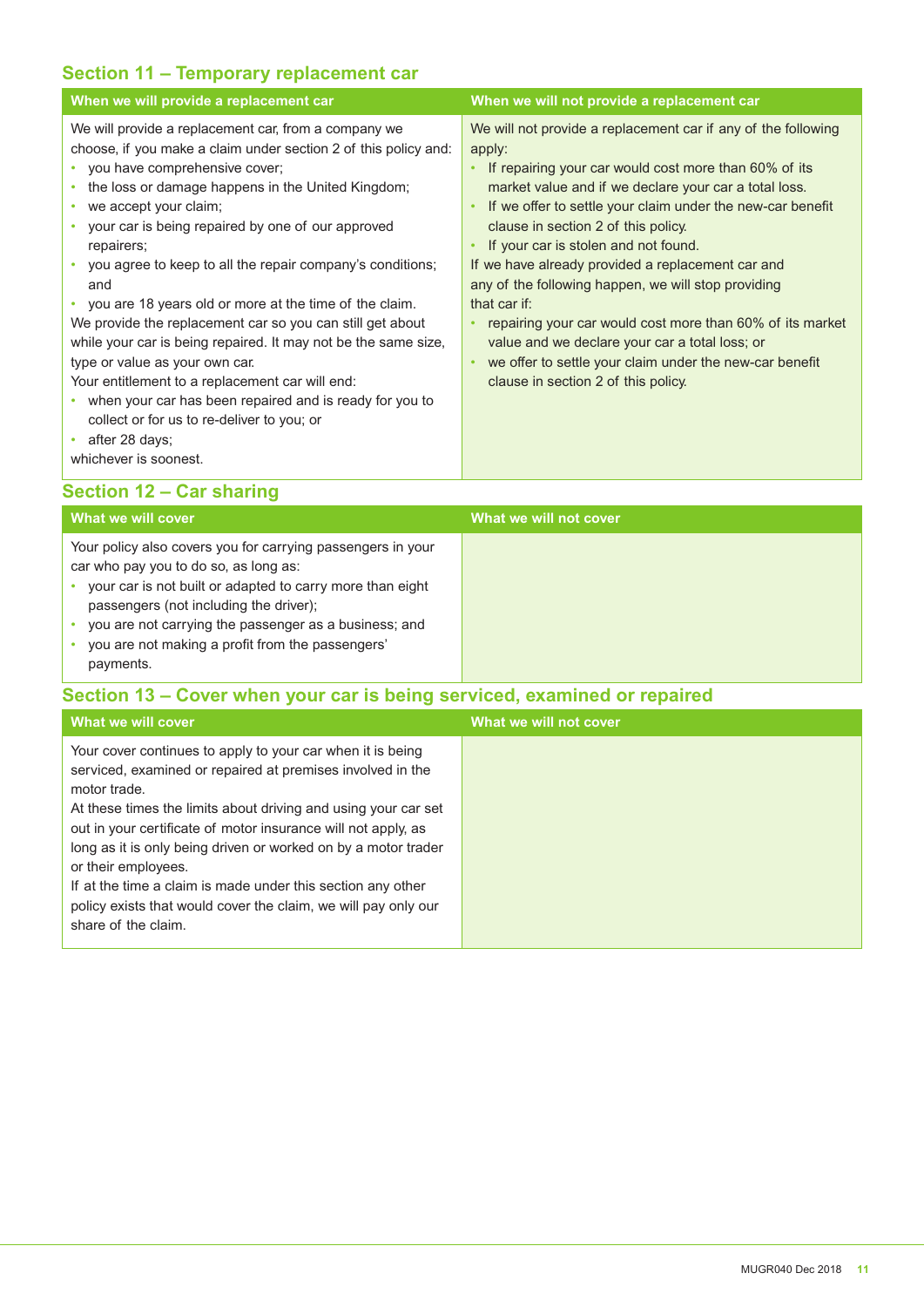#### **Section 11 – Temporary replacement car**

| When we will provide a replacement car                                                                                                                                                                                                                                                                                                                                                                                                                                                                                                                                                                                                                                                                                                                                                                                                                         | When we will not provide a replacement car                                                                                                                                                                                                                                                                                                                                                                                                                                                                                                                                                                                                                                          |
|----------------------------------------------------------------------------------------------------------------------------------------------------------------------------------------------------------------------------------------------------------------------------------------------------------------------------------------------------------------------------------------------------------------------------------------------------------------------------------------------------------------------------------------------------------------------------------------------------------------------------------------------------------------------------------------------------------------------------------------------------------------------------------------------------------------------------------------------------------------|-------------------------------------------------------------------------------------------------------------------------------------------------------------------------------------------------------------------------------------------------------------------------------------------------------------------------------------------------------------------------------------------------------------------------------------------------------------------------------------------------------------------------------------------------------------------------------------------------------------------------------------------------------------------------------------|
| We will provide a replacement car, from a company we<br>choose, if you make a claim under section 2 of this policy and:<br>• you have comprehensive cover;<br>the loss or damage happens in the United Kingdom;<br>we accept your claim;<br>$\bullet$<br>your car is being repaired by one of our approved<br>$\bullet$<br>repairers;<br>• you agree to keep to all the repair company's conditions;<br>and<br>• you are 18 years old or more at the time of the claim.<br>We provide the replacement car so you can still get about<br>while your car is being repaired. It may not be the same size,<br>type or value as your own car.<br>Your entitlement to a replacement car will end:<br>• when your car has been repaired and is ready for you to<br>collect or for us to re-deliver to you; or<br>after 28 days;<br>$\bullet$<br>whichever is soonest. | We will not provide a replacement car if any of the following<br>apply:<br>If repairing your car would cost more than 60% of its<br>market value and if we declare your car a total loss.<br>If we offer to settle your claim under the new-car benefit<br>clause in section 2 of this policy.<br>If your car is stolen and not found.<br>If we have already provided a replacement car and<br>any of the following happen, we will stop providing<br>that car if:<br>repairing your car would cost more than 60% of its market<br>value and we declare your car a total loss; or<br>we offer to settle your claim under the new-car benefit<br>clause in section 2 of this policy. |

## **Section 12 – Car sharing**

| What we will cover                                                                                                                                                                                                                                                                                                                    | What we will not cover |
|---------------------------------------------------------------------------------------------------------------------------------------------------------------------------------------------------------------------------------------------------------------------------------------------------------------------------------------|------------------------|
| Your policy also covers you for carrying passengers in your<br>car who pay you to do so, as long as:<br>your car is not built or adapted to carry more than eight<br>passengers (not including the driver);<br>you are not carrying the passenger as a business; and<br>you are not making a profit from the passengers'<br>payments. |                        |

### **Section 13 – Cover when your car is being serviced, examined or repaired**

| What we will cover                                                                                                                                                                                                                                                                                                                                                                                                                                                                                                           | What we will not cover |
|------------------------------------------------------------------------------------------------------------------------------------------------------------------------------------------------------------------------------------------------------------------------------------------------------------------------------------------------------------------------------------------------------------------------------------------------------------------------------------------------------------------------------|------------------------|
| Your cover continues to apply to your car when it is being<br>serviced, examined or repaired at premises involved in the<br>motor trade.<br>At these times the limits about driving and using your car set<br>out in your certificate of motor insurance will not apply, as<br>long as it is only being driven or worked on by a motor trader<br>or their employees.<br>If at the time a claim is made under this section any other<br>policy exists that would cover the claim, we will pay only our<br>share of the claim. |                        |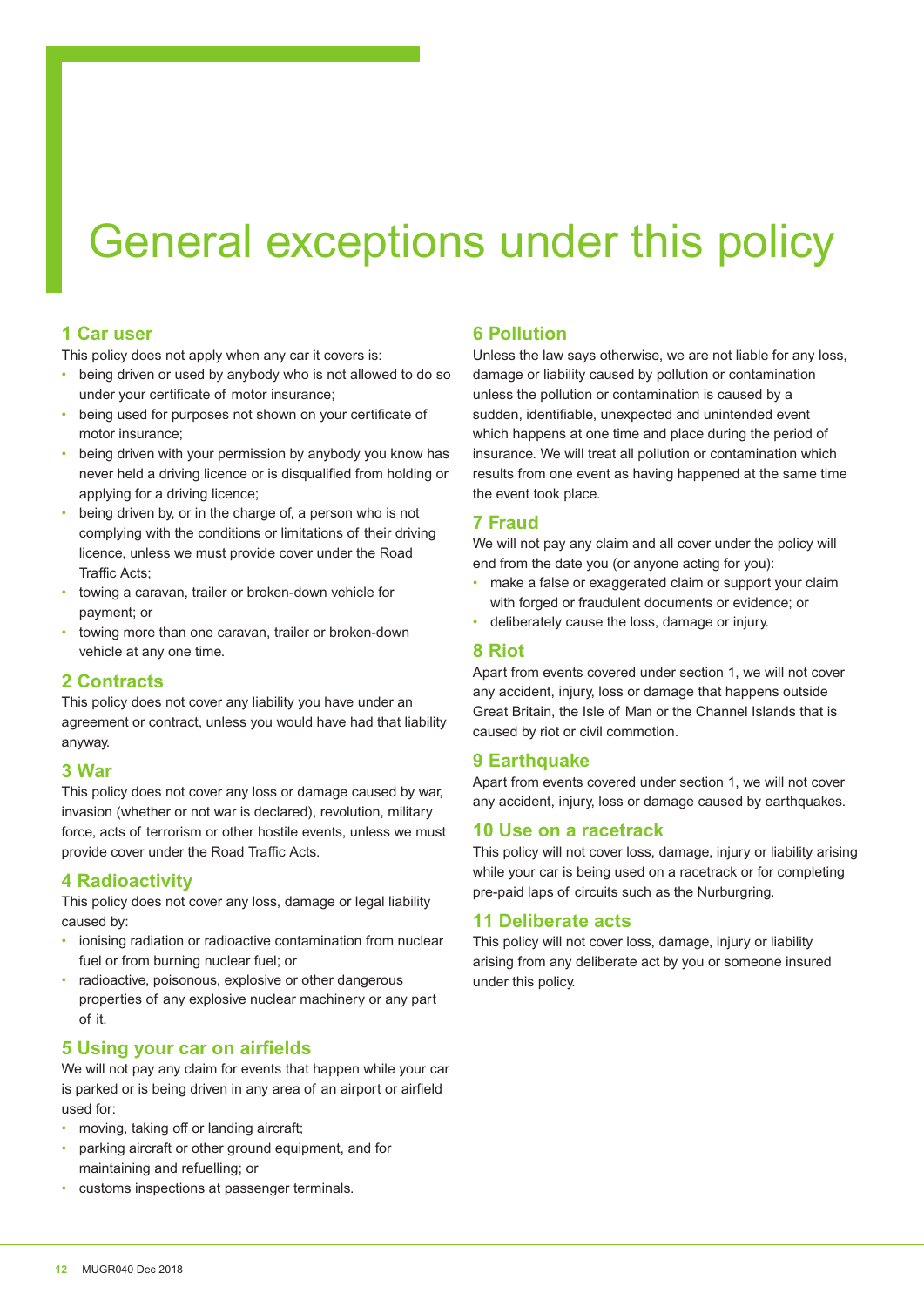# General exceptions under this policy

#### **1 Car user**

This policy does not apply when any car it covers is:

- being driven or used by anybody who is not allowed to do so under your certificate of motor insurance;
- being used for purposes not shown on your certificate of motor insurance;
- being driven with your permission by anybody you know has never held a driving licence or is disqualified from holding or applying for a driving licence;
- being driven by, or in the charge of, a person who is not complying with the conditions or limitations of their driving licence, unless we must provide cover under the Road Traffic Acts:
- towing a caravan, trailer or broken-down vehicle for payment; or
- towing more than one caravan, trailer or broken-down vehicle at any one time.

#### **2 Contracts**

This policy does not cover any liability you have under an agreement or contract, unless you would have had that liability anyway.

#### **3 War**

This policy does not cover any loss or damage caused by war, invasion (whether or not war is declared), revolution, military force, acts of terrorism or other hostile events, unless we must provide cover under the Road Traffic Acts.

#### **4 Radioactivity**

This policy does not cover any loss, damage or legal liability caused by:

- ionising radiation or radioactive contamination from nuclear fuel or from burning nuclear fuel; or
- radioactive, poisonous, explosive or other dangerous properties of any explosive nuclear machinery or any part of it.

#### **5 Using your car on airfields**

We will not pay any claim for events that happen while your car is parked or is being driven in any area of an airport or airield used for:

- moving, taking off or landing aircraft;
- parking aircraft or other ground equipment, and for maintaining and refuelling; or
- customs inspections at passenger terminals.

#### **6 Pollution**

Unless the law says otherwise, we are not liable for any loss, damage or liability caused by pollution or contamination unless the pollution or contamination is caused by a sudden, identifiable, unexpected and unintended event which happens at one time and place during the period of insurance. We will treat all pollution or contamination which results from one event as having happened at the same time the event took place.

#### **7 Fraud**

We will not pay any claim and all cover under the policy will end from the date you (or anyone acting for you):

- make a false or exaggerated claim or support your claim with forged or fraudulent documents or evidence; or
- deliberately cause the loss, damage or injury.

#### **8 Riot**

Apart from events covered under section 1, we will not cover any accident, injury, loss or damage that happens outside Great Britain, the Isle of Man or the Channel Islands that is caused by riot or civil commotion.

#### **9 Earthquake**

Apart from events covered under section 1, we will not cover any accident, injury, loss or damage caused by earthquakes.

#### **10 Use on a racetrack**

This policy will not cover loss, damage, injury or liability arising while your car is being used on a racetrack or for completing pre-paid laps of circuits such as the Nurburgring.

#### **11 Deliberate acts**

This policy will not cover loss, damage, injury or liability arising from any deliberate act by you or someone insured under this policy.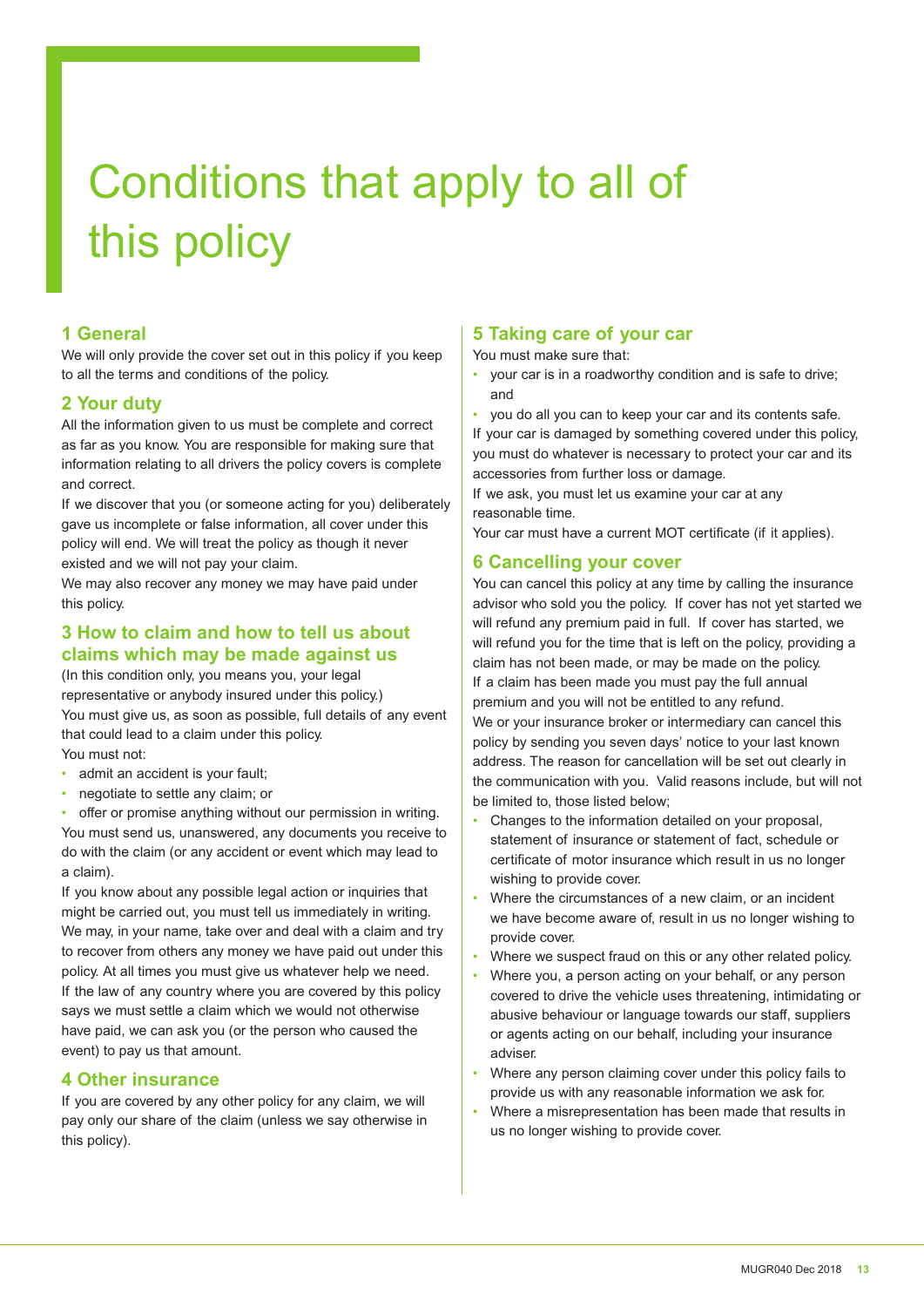# Conditions that apply to all of this policy

#### **1 General**

We will only provide the cover set out in this policy if you keep to all the terms and conditions of the policy.

#### **2 Your duty**

All the information given to us must be complete and correct as far as you know. You are responsible for making sure that information relating to all drivers the policy covers is complete and correct.

If we discover that you (or someone acting for you) deliberately gave us incomplete or false information, all cover under this policy will end. We will treat the policy as though it never existed and we will not pay your claim.

We may also recover any money we may have paid under this policy.

#### **3 How to claim and how to tell us about claims which may be made against us**

(In this condition only, you means you, your legal representative or anybody insured under this policy.) You must give us, as soon as possible, full details of any event that could lead to a claim under this policy. You must not:

- admit an accident is your fault;
- negotiate to settle any claim; or
- offer or promise anything without our permission in writing.

You must send us, unanswered, any documents you receive to do with the claim (or any accident or event which may lead to a claim).

If you know about any possible legal action or inquiries that might be carried out, you must tell us immediately in writing. We may, in your name, take over and deal with a claim and try to recover from others any money we have paid out under this policy. At all times you must give us whatever help we need. If the law of any country where you are covered by this policy says we must settle a claim which we would not otherwise have paid, we can ask you (or the person who caused the event) to pay us that amount.

#### **4 Other insurance**

If you are covered by any other policy for any claim, we will pay only our share of the claim (unless we say otherwise in this policy).

#### **5 Taking care of your car**

You must make sure that:

- your car is in a roadworthy condition and is safe to drive; and
- you do all you can to keep your car and its contents safe.

If your car is damaged by something covered under this policy, you must do whatever is necessary to protect your car and its accessories from further loss or damage.

If we ask, you must let us examine your car at any reasonable time.

Your car must have a current MOT certificate (if it applies).

#### **6 Cancelling your cover**

You can cancel this policy at any time by calling the insurance advisor who sold you the policy. If cover has not yet started we will refund any premium paid in full. If cover has started, we will refund you for the time that is left on the policy, providing a claim has not been made, or may be made on the policy. If a claim has been made you must pay the full annual premium and you will not be entitled to any refund. We or your insurance broker or intermediary can cancel this policy by sending you seven days' notice to your last known address. The reason for cancellation will be set out clearly in the communication with you. Valid reasons include, but will not be limited to, those listed below;

- Changes to the information detailed on your proposal, statement of insurance or statement of fact, schedule or certificate of motor insurance which result in us no longer wishing to provide cover.
- Where the circumstances of a new claim, or an incident we have become aware of, result in us no longer wishing to provide cover.
- Where we suspect fraud on this or any other related policy.
- Where you, a person acting on your behalf, or any person covered to drive the vehicle uses threatening, intimidating or abusive behaviour or language towards our staf, suppliers or agents acting on our behalf, including your insurance adviser.
- Where any person claiming cover under this policy fails to provide us with any reasonable information we ask for.
- Where a misrepresentation has been made that results in us no longer wishing to provide cover.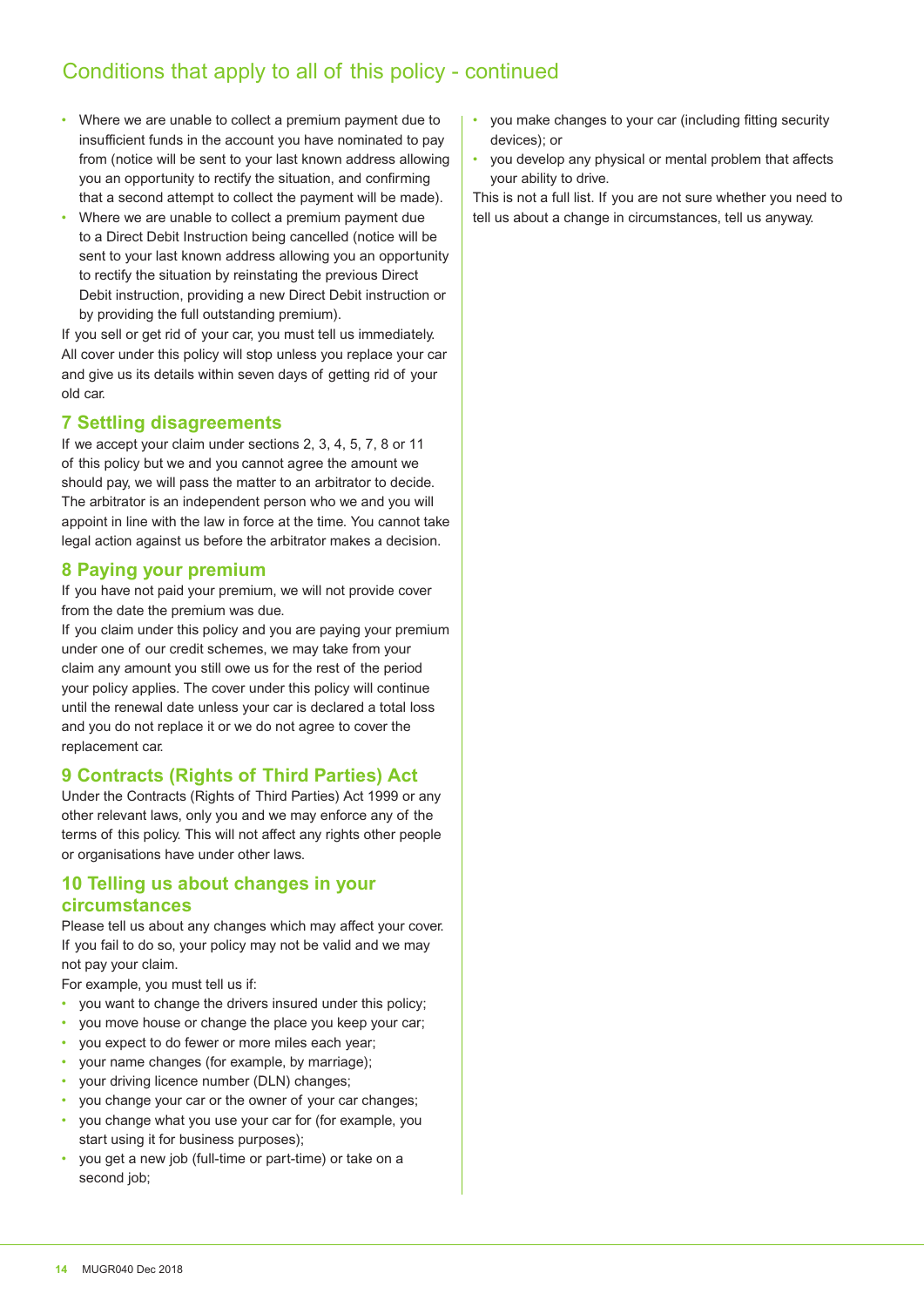### Conditions that apply to all of this policy - continued

- Where we are unable to collect a premium payment due to insufficient funds in the account you have nominated to pay from (notice will be sent to your last known address allowing you an opportunity to rectify the situation, and confirming that a second attempt to collect the payment will be made).
- Where we are unable to collect a premium payment due to a Direct Debit Instruction being cancelled (notice will be sent to your last known address allowing you an opportunity to rectify the situation by reinstating the previous Direct Debit instruction, providing a new Direct Debit instruction or by providing the full outstanding premium).

If you sell or get rid of your car, you must tell us immediately. All cover under this policy will stop unless you replace your car and give us its details within seven days of getting rid of your old car.

#### **7 Settling disagreements**

If we accept your claim under sections 2, 3, 4, 5, 7, 8 or 11 of this policy but we and you cannot agree the amount we should pay, we will pass the matter to an arbitrator to decide. The arbitrator is an independent person who we and you will appoint in line with the law in force at the time. You cannot take legal action against us before the arbitrator makes a decision.

#### **8 Paying your premium**

If you have not paid your premium, we will not provide cover from the date the premium was due.

If you claim under this policy and you are paying your premium under one of our credit schemes, we may take from your claim any amount you still owe us for the rest of the period your policy applies. The cover under this policy will continue until the renewal date unless your car is declared a total loss and you do not replace it or we do not agree to cover the replacement car.

#### **9 Contracts (Rights of Third Parties) Act**

Under the Contracts (Rights of Third Parties) Act 1999 or any other relevant laws, only you and we may enforce any of the terms of this policy. This will not afect any rights other people or organisations have under other laws.

#### **10 Telling us about changes in your circumstances**

Please tell us about any changes which may affect your cover. If you fail to do so, your policy may not be valid and we may not pay your claim.

For example, you must tell us if:

- you want to change the drivers insured under this policy;
- you move house or change the place you keep your car;
- you expect to do fewer or more miles each year;
- your name changes (for example, by marriage);
- your driving licence number (DLN) changes;
- you change your car or the owner of your car changes;
- you change what you use your car for (for example, you start using it for business purposes);
- you get a new job (full-time or part-time) or take on a second job;
- you make changes to your car (including fitting security devices); or
- you develop any physical or mental problem that afects your ability to drive.

This is not a full list. If you are not sure whether you need to tell us about a change in circumstances, tell us anyway.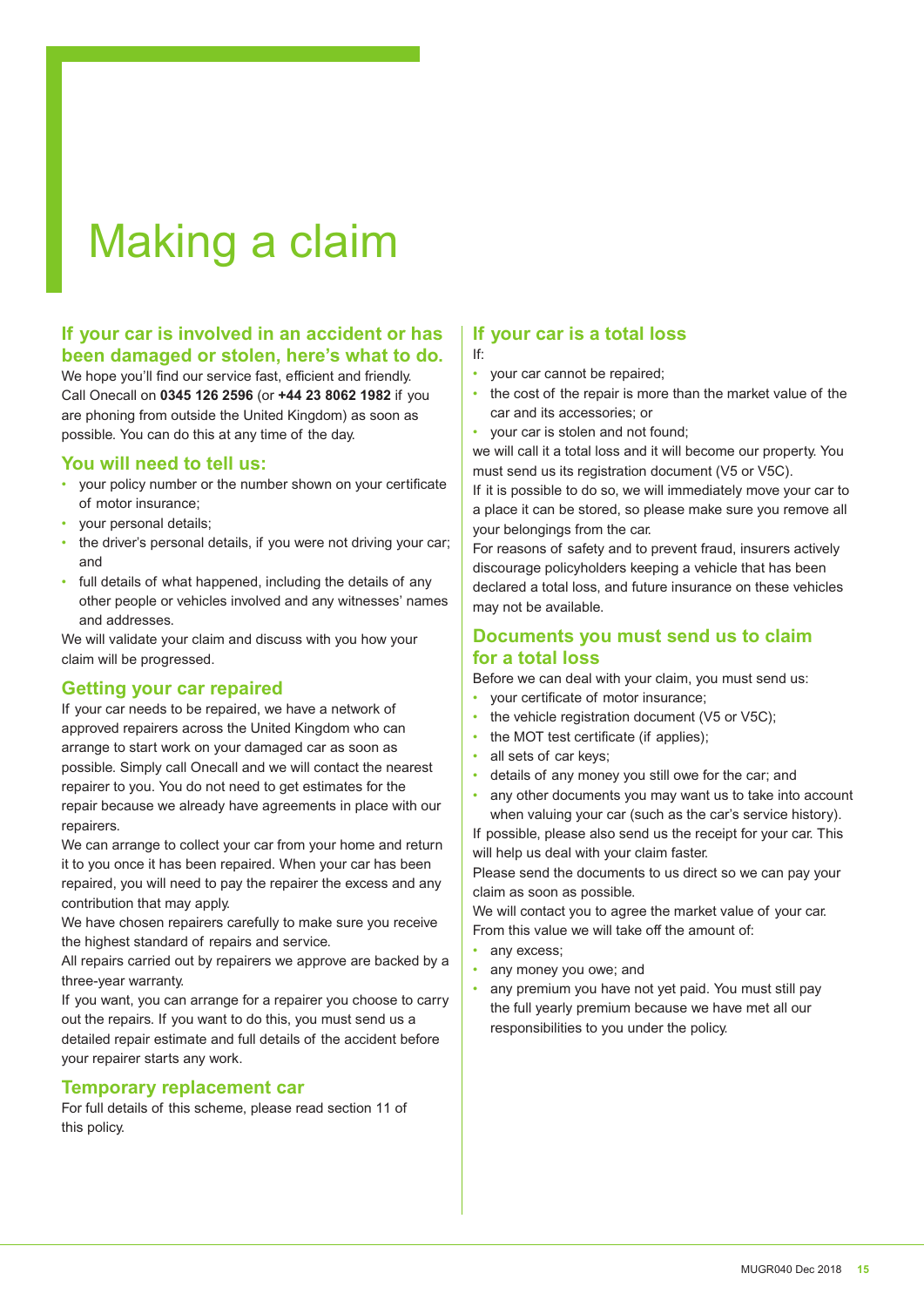# Making a claim

#### **If your car is involved in an accident or has been damaged or stolen, here's what to do.**

We hope you'll find our service fast, efficient and friendly. Call Onecall on **0345 126 2596** (or **+44 23 8062 1982** if you are phoning from outside the United Kingdom) as soon as possible. You can do this at any time of the day.

#### **You will need to tell us:**

- your policy number or the number shown on your certificate of motor insurance;
- your personal details;
- the driver's personal details, if you were not driving your car; and
- full details of what happened, including the details of any other people or vehicles involved and any witnesses' names and addresses.

We will validate your claim and discuss with you how your claim will be progressed.

#### **Getting your car repaired**

If your car needs to be repaired, we have a network of approved repairers across the United Kingdom who can arrange to start work on your damaged car as soon as possible. Simply call Onecall and we will contact the nearest repairer to you. You do not need to get estimates for the repair because we already have agreements in place with our repairers.

We can arrange to collect your car from your home and return it to you once it has been repaired. When your car has been repaired, you will need to pay the repairer the excess and any contribution that may apply.

We have chosen repairers carefully to make sure you receive the highest standard of repairs and service.

All repairs carried out by repairers we approve are backed by a three-year warranty.

If you want, you can arrange for a repairer you choose to carry out the repairs. If you want to do this, you must send us a detailed repair estimate and full details of the accident before your repairer starts any work.

#### **Temporary replacement car**

For full details of this scheme, please read section 11 of this policy.

#### **If your car is a total loss** If:

- your car cannot be repaired;
- the cost of the repair is more than the market value of the car and its accessories; or
- your car is stolen and not found;

we will call it a total loss and it will become our property. You must send us its registration document (V5 or V5C).

If it is possible to do so, we will immediately move your car to a place it can be stored, so please make sure you remove all your belongings from the car.

For reasons of safety and to prevent fraud, insurers actively discourage policyholders keeping a vehicle that has been declared a total loss, and future insurance on these vehicles may not be available.

#### **Documents you must send us to claim for a total loss**

Before we can deal with your claim, you must send us:

- your certificate of motor insurance;
- the vehicle registration document (V5 or V5C);
- the MOT test certificate (if applies);
- all sets of car keys;
- details of any money you still owe for the car; and
- any other documents you may want us to take into account when valuing your car (such as the car's service history).

If possible, please also send us the receipt for your car. This will help us deal with your claim faster.

Please send the documents to us direct so we can pay your claim as soon as possible.

We will contact you to agree the market value of your car. From this value we will take off the amount of:

- any excess:
- any money you owe; and
- any premium you have not yet paid. You must still pay the full yearly premium because we have met all our responsibilities to you under the policy.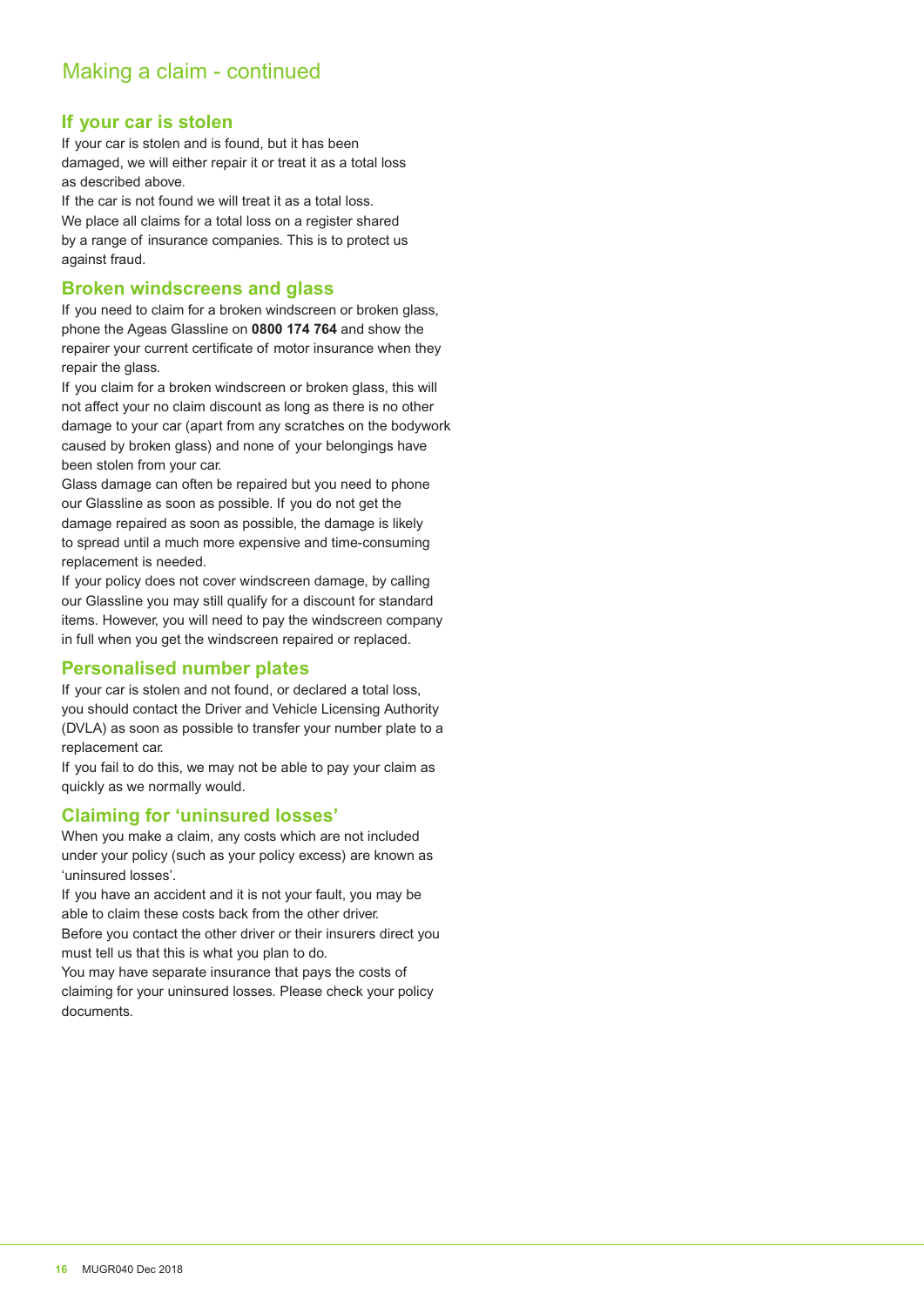#### **If your car is stolen**

If your car is stolen and is found, but it has been damaged, we will either repair it or treat it as a total loss as described above.

If the car is not found we will treat it as a total loss. We place all claims for a total loss on a register shared by a range of insurance companies. This is to protect us against fraud.

#### **Broken windscreens and glass**

If you need to claim for a broken windscreen or broken glass, phone the Ageas Glassline on **0800 174 764** and show the repairer your current certificate of motor insurance when they repair the glass.

If you claim for a broken windscreen or broken glass, this will not afect your no claim discount as long as there is no other damage to your car (apart from any scratches on the bodywork caused by broken glass) and none of your belongings have been stolen from your car.

Glass damage can often be repaired but you need to phone our Glassline as soon as possible. If you do not get the damage repaired as soon as possible, the damage is likely to spread until a much more expensive and time-consuming replacement is needed.

If your policy does not cover windscreen damage, by calling our Glassline you may still qualify for a discount for standard items. However, you will need to pay the windscreen company in full when you get the windscreen repaired or replaced.

#### **Personalised number plates**

If your car is stolen and not found, or declared a total loss, you should contact the Driver and Vehicle Licensing Authority (DVLA) as soon as possible to transfer your number plate to a replacement car.

If you fail to do this, we may not be able to pay your claim as quickly as we normally would.

#### **Claiming for 'uninsured losses'**

When you make a claim, any costs which are not included under your policy (such as your policy excess) are known as 'uninsured losses'.

If you have an accident and it is not your fault, you may be able to claim these costs back from the other driver.

Before you contact the other driver or their insurers direct you must tell us that this is what you plan to do.

You may have separate insurance that pays the costs of claiming for your uninsured losses. Please check your policy documents.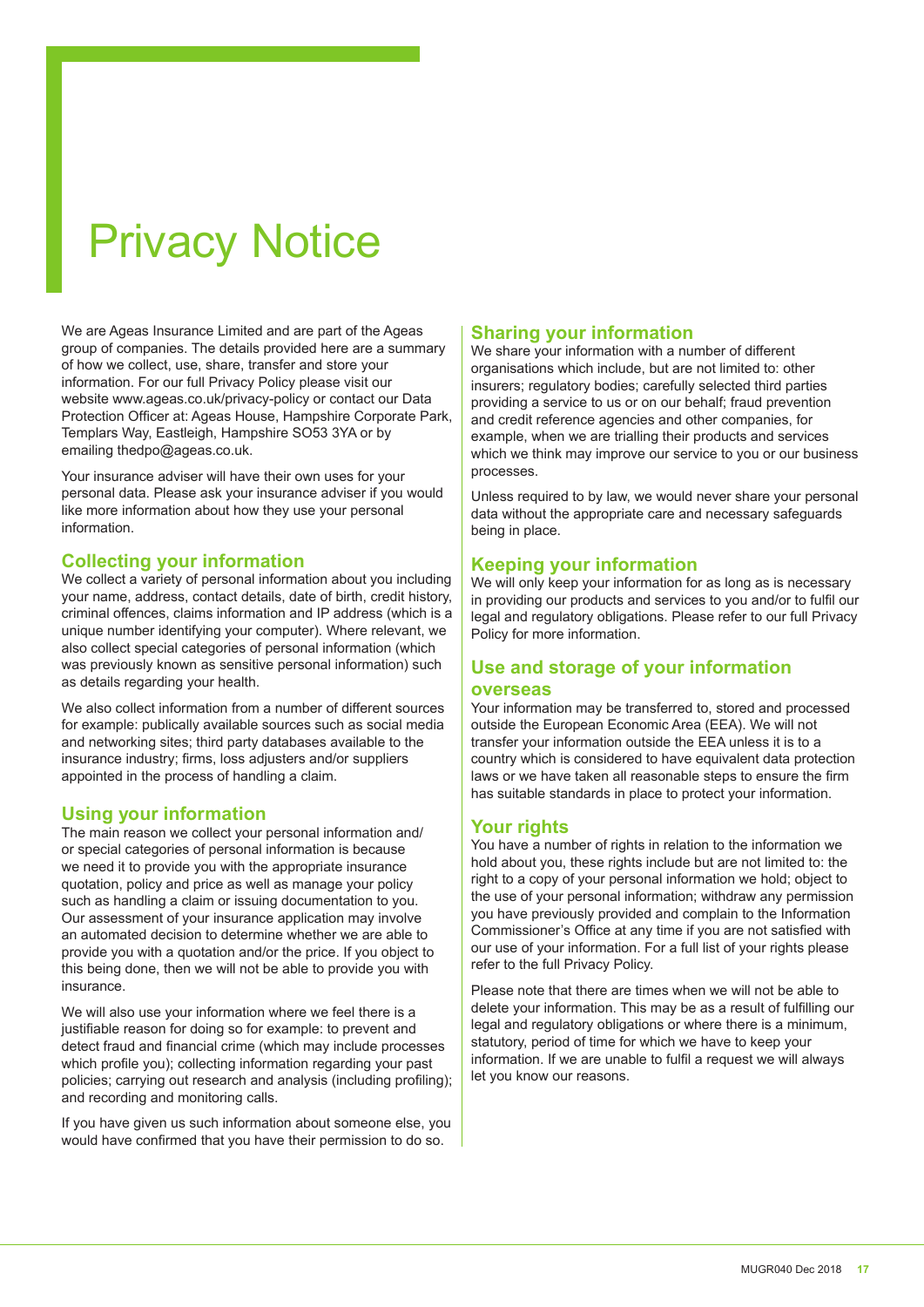# Privacy Notice

We are Ageas Insurance Limited and are part of the Ageas group of companies. The details provided here are a summary of how we collect, use, share, transfer and store your information. For our full Privacy Policy please visit our website www.ageas.co.uk/privacy-policy or contact our Data Protection Oficer at: Ageas House, Hampshire Corporate Park, Templars Way, Eastleigh, Hampshire SO53 3YA or by emailing thedpo@ageas.co.uk.

Your insurance adviser will have their own uses for your personal data. Please ask your insurance adviser if you would like more information about how they use your personal information.

#### **Collecting your information**

We collect a variety of personal information about you including your name, address, contact details, date of birth, credit history, criminal offences, claims information and IP address (which is a unique number identifying your computer). Where relevant, we also collect special categories of personal information (which was previously known as sensitive personal information) such as details regarding your health.

We also collect information from a number of different sources for example: publically available sources such as social media and networking sites; third party databases available to the insurance industry; irms, loss adjusters and/or suppliers appointed in the process of handling a claim.

#### **Using your information**

The main reason we collect your personal information and/ or special categories of personal information is because we need it to provide you with the appropriate insurance quotation, policy and price as well as manage your policy such as handling a claim or issuing documentation to you. Our assessment of your insurance application may involve an automated decision to determine whether we are able to provide you with a quotation and/or the price. If you object to this being done, then we will not be able to provide you with insurance.

We will also use your information where we feel there is a justifiable reason for doing so for example: to prevent and detect fraud and financial crime (which may include processes which profile you); collecting information regarding your past policies; carrying out research and analysis (including profiling); and recording and monitoring calls.

If you have given us such information about someone else, you would have confirmed that you have their permission to do so.

#### **Sharing your information**

We share your information with a number of different organisations which include, but are not limited to: other insurers; regulatory bodies; carefully selected third parties providing a service to us or on our behalf; fraud prevention and credit reference agencies and other companies, for example, when we are trialling their products and services which we think may improve our service to you or our business processes.

Unless required to by law, we would never share your personal data without the appropriate care and necessary safeguards being in place.

#### **Keeping your information**

We will only keep your information for as long as is necessary in providing our products and services to you and/or to fulil our legal and regulatory obligations. Please refer to our full Privacy Policy for more information.

#### **Use and storage of your information**

#### **overseas**

Your information may be transferred to, stored and processed outside the European Economic Area (EEA). We will not transfer your information outside the EEA unless it is to a country which is considered to have equivalent data protection laws or we have taken all reasonable steps to ensure the irm has suitable standards in place to protect your information.

#### **Your rights**

You have a number of rights in relation to the information we hold about you, these rights include but are not limited to: the right to a copy of your personal information we hold; object to the use of your personal information; withdraw any permission you have previously provided and complain to the Information Commissioner's Ofice at any time if you are not satisied with our use of your information. For a full list of your rights please refer to the full Privacy Policy.

Please note that there are times when we will not be able to delete your information. This may be as a result of fulilling our legal and regulatory obligations or where there is a minimum, statutory, period of time for which we have to keep your information. If we are unable to fulfil a request we will always let you know our reasons.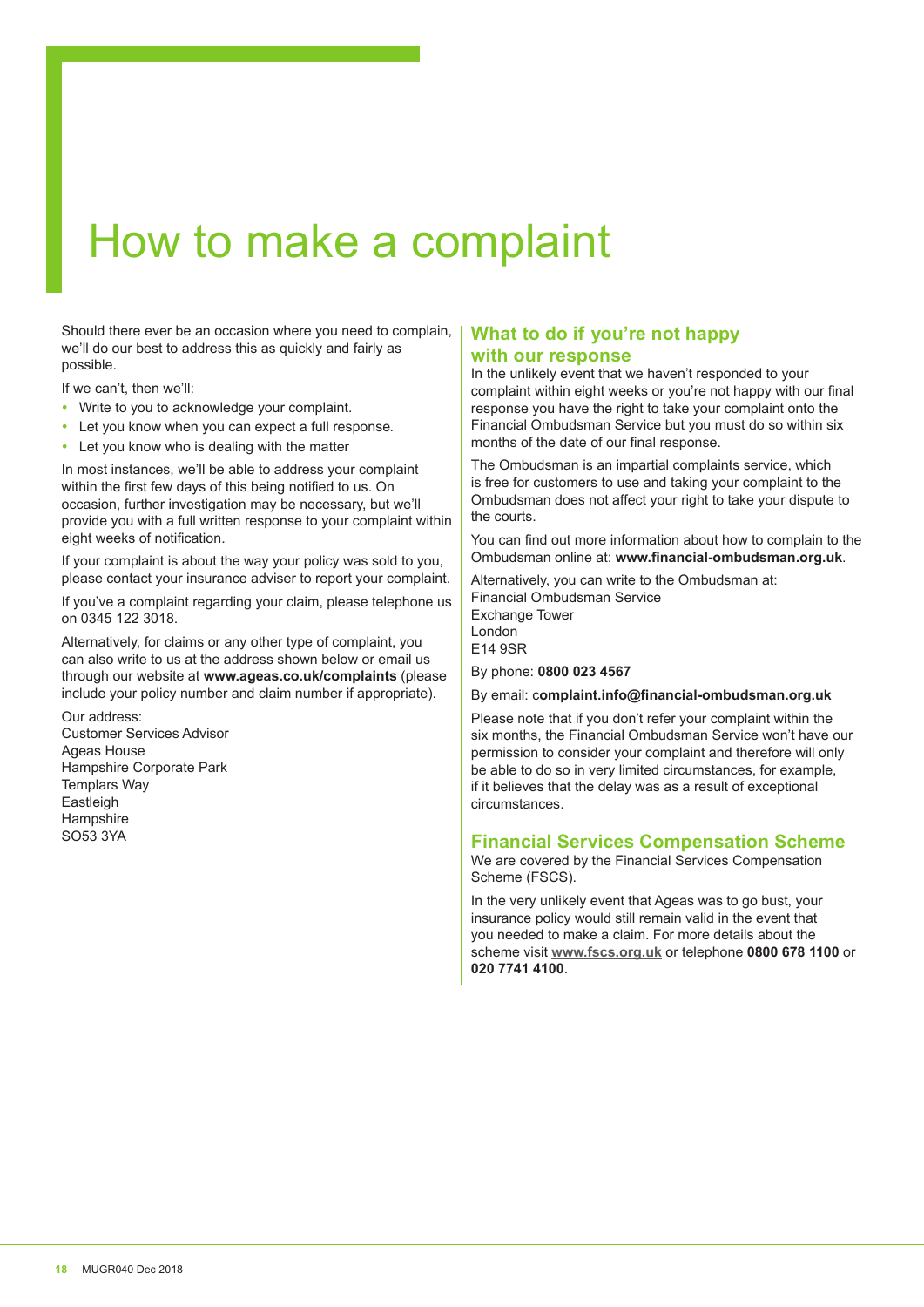# How to make a complaint

Should there ever be an occasion where you need to complain, we'll do our best to address this as quickly and fairly as possible.

If we can't, then we'll:

- Write to you to acknowledge your complaint.
- Let you know when you can expect a full response.
- Let you know who is dealing with the matter

In most instances, we'll be able to address your complaint within the first few days of this being notified to us. On occasion, further investigation may be necessary, but we'll provide you with a full written response to your complaint within eight weeks of notification.

If your complaint is about the way your policy was sold to you, please contact your insurance adviser to report your complaint.

If you've a complaint regarding your claim, please telephone us on 0345 122 3018.

Alternatively, for claims or any other type of complaint, you can also write to us at the address shown below or email us through our website at **www.ageas.co.uk/complaints** (please include your policy number and claim number if appropriate).

Our address: Customer Services Advisor Ageas House Hampshire Corporate Park Templars Way **Eastleigh** Hampshire SO53 3YA

#### **What to do if you're not happy with our response**

In the unlikely event that we haven't responded to your complaint within eight weeks or you're not happy with our final response you have the right to take your complaint onto the Financial Ombudsman Service but you must do so within six months of the date of our final response.

The Ombudsman is an impartial complaints service, which is free for customers to use and taking your complaint to the Ombudsman does not affect your right to take your dispute to the courts.

You can find out more information about how to complain to the Ombudsman online at: **www.inancial-ombudsman.org.uk**.

Alternatively, you can write to the Ombudsman at: Financial Ombudsman Service Exchange Tower London E14 9SR

By phone: **0800 023 4567**

By email: c**omplaint.info@inancial-ombudsman.org.uk**

Please note that if you don't refer your complaint within the six months, the Financial Ombudsman Service won't have our permission to consider your complaint and therefore will only be able to do so in very limited circumstances, for example, if it believes that the delay was as a result of exceptional circumstances.

#### **Financial Services Compensation Scheme**

We are covered by the Financial Services Compensation Scheme (FSCS).

In the very unlikely event that Ageas was to go bust, your insurance policy would still remain valid in the event that you needed to make a claim. For more details about the scheme visit **www.fscs.org.uk** or telephone **0800 678 1100** or **020 7741 4100**.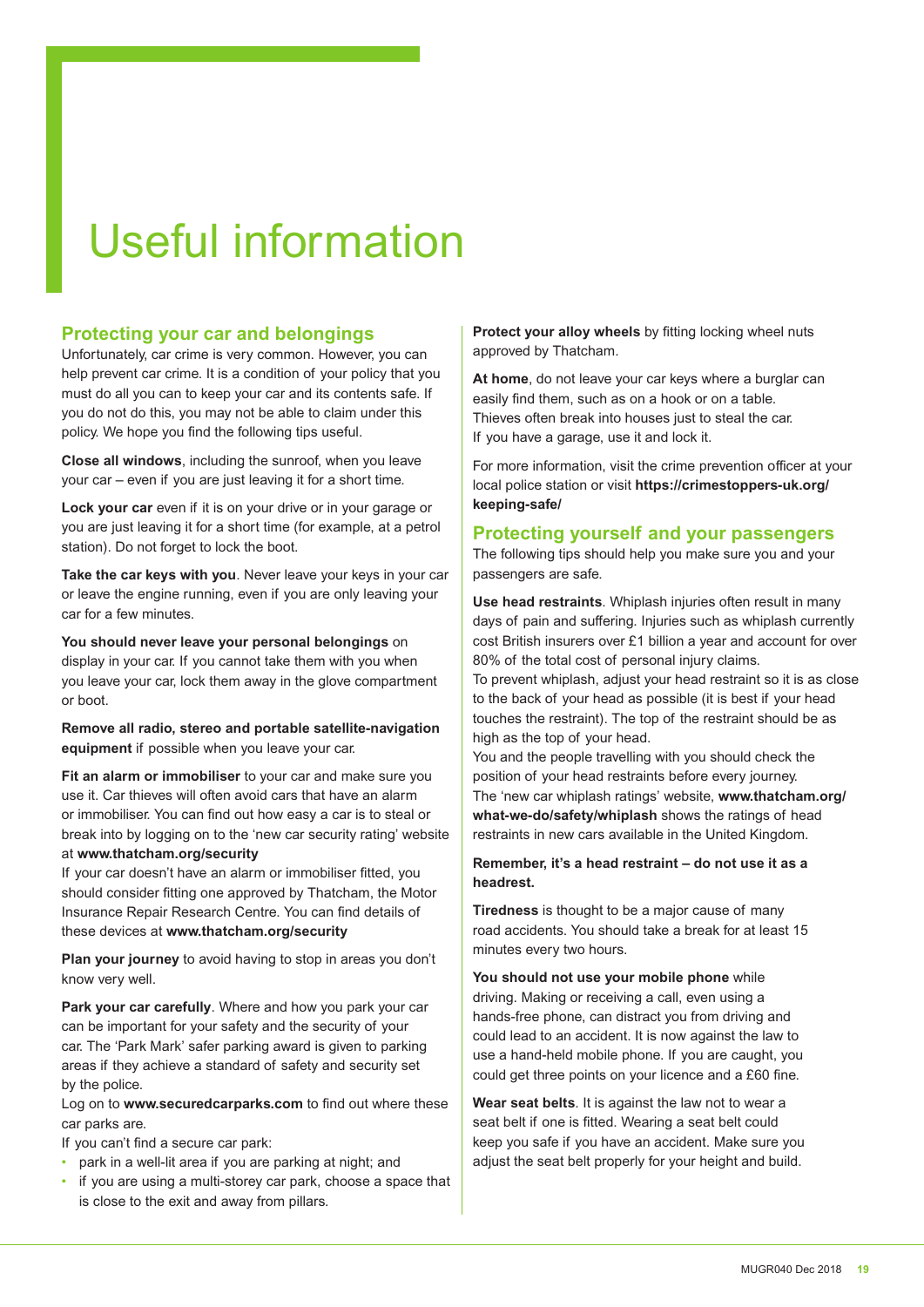# Useful information

#### **Protecting your car and belongings**

Unfortunately, car crime is very common. However, you can help prevent car crime. It is a condition of your policy that you must do all you can to keep your car and its contents safe. If you do not do this, you may not be able to claim under this policy. We hope you find the following tips useful.

**Close all windows**, including the sunroof, when you leave your car – even if you are just leaving it for a short time.

**Lock your car** even if it is on your drive or in your garage or you are just leaving it for a short time (for example, at a petrol station). Do not forget to lock the boot.

**Take the car keys with you**. Never leave your keys in your car or leave the engine running, even if you are only leaving your car for a few minutes.

**You should never leave your personal belongings** on display in your car. If you cannot take them with you when you leave your car, lock them away in the glove compartment or boot.

**Remove all radio, stereo and portable satellite-navigation equipment** if possible when you leave your car.

**Fit an alarm or immobiliser** to your car and make sure you use it. Car thieves will often avoid cars that have an alarm or immobiliser. You can find out how easy a car is to steal or break into by logging on to the 'new car security rating' website at **www.thatcham.org/security**

If your car doesn't have an alarm or immobiliser fitted, you should consider fitting one approved by Thatcham, the Motor Insurance Repair Research Centre. You can ind details of these devices at **www.thatcham.org/security**

**Plan your journey** to avoid having to stop in areas you don't know very well.

**Park your car carefully**. Where and how you park your car can be important for your safety and the security of your car. The 'Park Mark' safer parking award is given to parking areas if they achieve a standard of safety and security set by the police.

Log on to www.securedcarparks.com to find out where these car parks are.

If you can't find a secure car park:

- park in a well-lit area if you are parking at night; and
- if you are using a multi-storey car park, choose a space that is close to the exit and away from pillars.

**Protect your alloy wheels** by fitting locking wheel nuts approved by Thatcham.

**At home**, do not leave your car keys where a burglar can easily find them, such as on a hook or on a table. Thieves often break into houses just to steal the car. If you have a garage, use it and lock it.

For more information, visit the crime prevention officer at your local police station or visit **https://crimestoppers-uk.org/ keeping-safe/**

#### **Protecting yourself and your passengers**

The following tips should help you make sure you and your passengers are safe.

**Use head restraints**. Whiplash injuries often result in many days of pain and sufering. Injuries such as whiplash currently cost British insurers over £1 billion a year and account for over 80% of the total cost of personal injury claims.

To prevent whiplash, adjust your head restraint so it is as close to the back of your head as possible (it is best if your head touches the restraint). The top of the restraint should be as high as the top of your head.

You and the people travelling with you should check the position of your head restraints before every journey. The 'new car whiplash ratings' website, **www.thatcham.org/ what-we-do/safety/whiplash** shows the ratings of head restraints in new cars available in the United Kingdom.

#### **Remember, it's a head restraint – do not use it as a headrest.**

**Tiredness** is thought to be a major cause of many road accidents. You should take a break for at least 15 minutes every two hours.

**You should not use your mobile phone** while driving. Making or receiving a call, even using a hands-free phone, can distract you from driving and could lead to an accident. It is now against the law to use a hand-held mobile phone. If you are caught, you could get three points on your licence and a £60 fine.

**Wear seat belts**. It is against the law not to wear a seat belt if one is fitted. Wearing a seat belt could keep you safe if you have an accident. Make sure you adjust the seat belt properly for your height and build.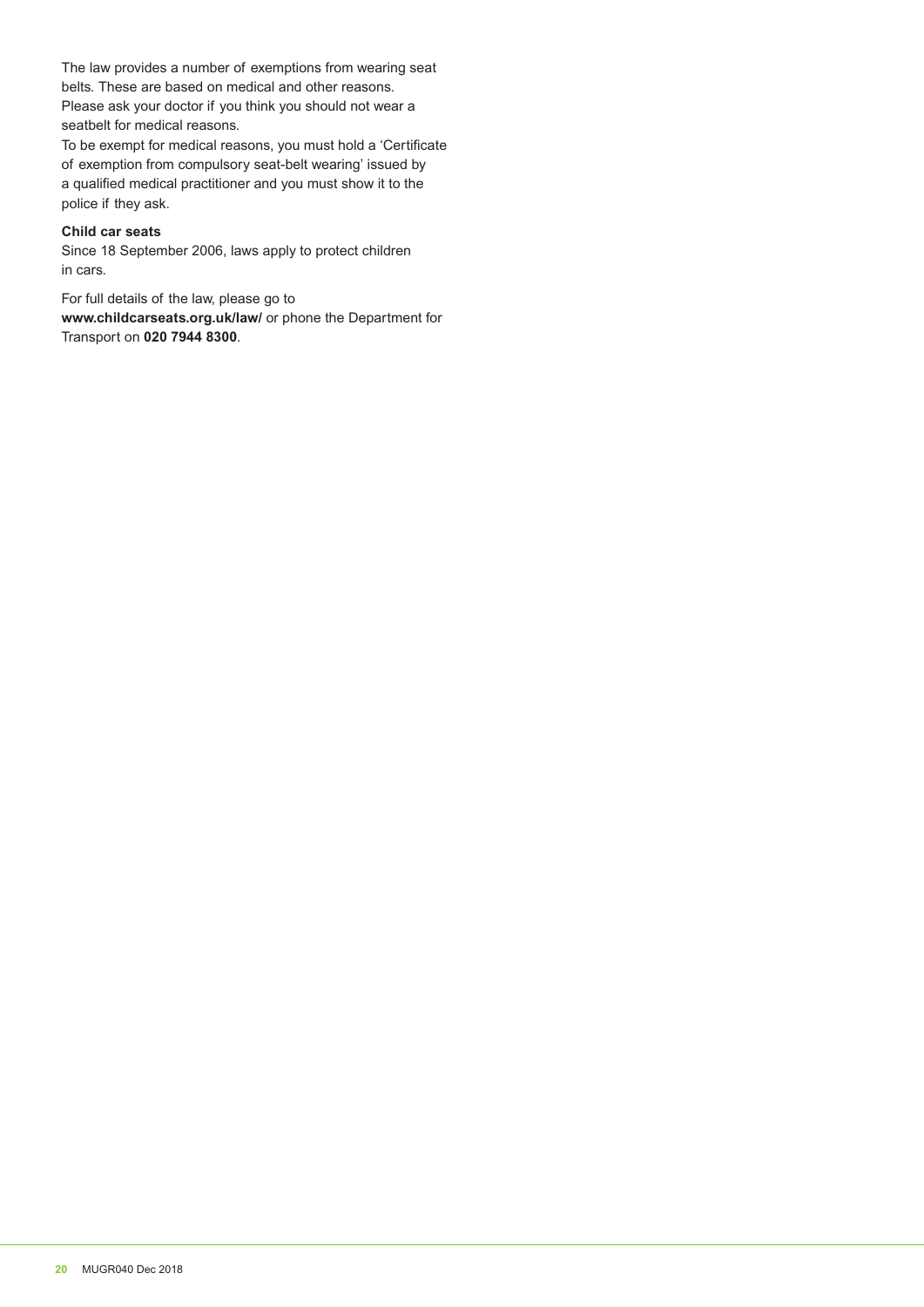The law provides a number of exemptions from wearing seat belts. These are based on medical and other reasons. Please ask your doctor if you think you should not wear a seatbelt for medical reasons.

To be exempt for medical reasons, you must hold a 'Certificate' of exemption from compulsory seat-belt wearing' issued by a qualified medical practitioner and you must show it to the police if they ask.

#### **Child car seats**

Since 18 September 2006, laws apply to protect children in cars.

For full details of the law, please go to **www.childcarseats.org.uk/law/** or phone the Department for Transport on **020 7944 8300**.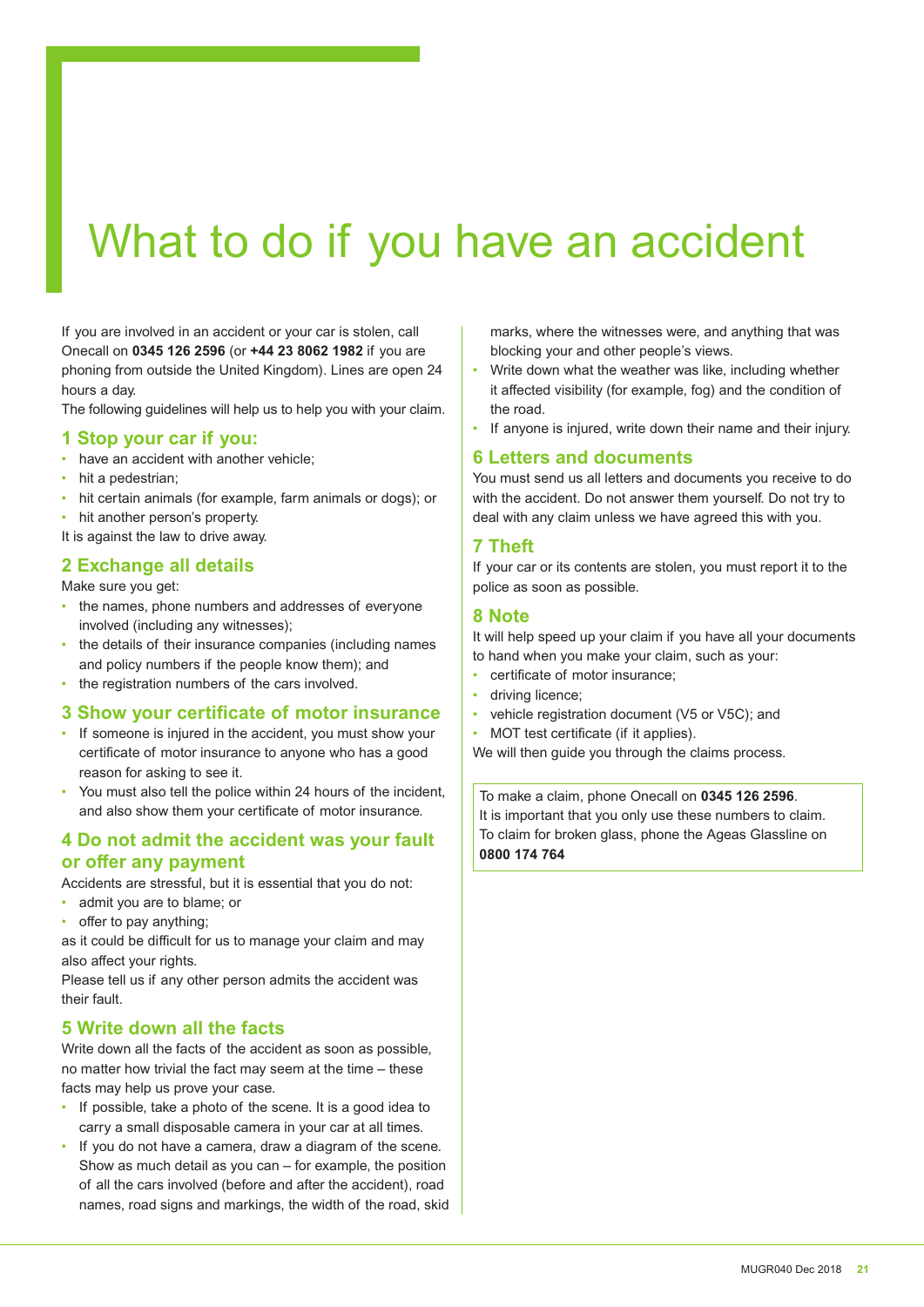# What to do if you have an accident

If you are involved in an accident or your car is stolen, call Onecall on **0345 126 2596** (or **+44 23 8062 1982** if you are phoning from outside the United Kingdom). Lines are open 24 hours a day.

The following guidelines will help us to help you with your claim.

#### **1 Stop your car if you:**

- have an accident with another vehicle:
- hit a pedestrian:
- hit certain animals (for example, farm animals or dogs); or
- hit another person's property.
- It is against the law to drive away.

#### **2 Exchange all details**

Make sure you get:

- the names, phone numbers and addresses of everyone involved (including any witnesses);
- the details of their insurance companies (including names and policy numbers if the people know them); and
- the registration numbers of the cars involved.

#### **3 Show your certificate of motor insurance**

- If someone is injured in the accident, you must show your certificate of motor insurance to anyone who has a good reason for asking to see it.
- You must also tell the police within 24 hours of the incident, and also show them your certificate of motor insurance.

#### **4 Do not admit the accident was your fault or offer any payment**

Accidents are stressful, but it is essential that you do not:

- admit you are to blame; or
- offer to pay anything;

as it could be difficult for us to manage your claim and may also afect your rights.

Please tell us if any other person admits the accident was their fault.

#### **5 Write down all the facts**

Write down all the facts of the accident as soon as possible, no matter how trivial the fact may seem at the time – these facts may help us prove your case.

- If possible, take a photo of the scene. It is a good idea to carry a small disposable camera in your car at all times.
- If you do not have a camera, draw a diagram of the scene. Show as much detail as you can – for example, the position of all the cars involved (before and after the accident), road names, road signs and markings, the width of the road, skid

marks, where the witnesses were, and anything that was blocking your and other people's views.

- Write down what the weather was like, including whether it afected visibility (for example, fog) and the condition of the road.
- If anyone is injured, write down their name and their injury.

#### **6 Letters and documents**

You must send us all letters and documents you receive to do with the accident. Do not answer them yourself. Do not try to deal with any claim unless we have agreed this with you.

#### **7 Theft**

If your car or its contents are stolen, you must report it to the police as soon as possible.

#### **8 Note**

It will help speed up your claim if you have all your documents to hand when you make your claim, such as your:

- certificate of motor insurance:
- driving licence:
- vehicle registration document (V5 or V5C); and
- MOT test certificate (if it applies).

We will then guide you through the claims process.

To make a claim, phone Onecall on **0345 126 2596**. It is important that you only use these numbers to claim. To claim for broken glass, phone the Ageas Glassline on **0800 174 764**